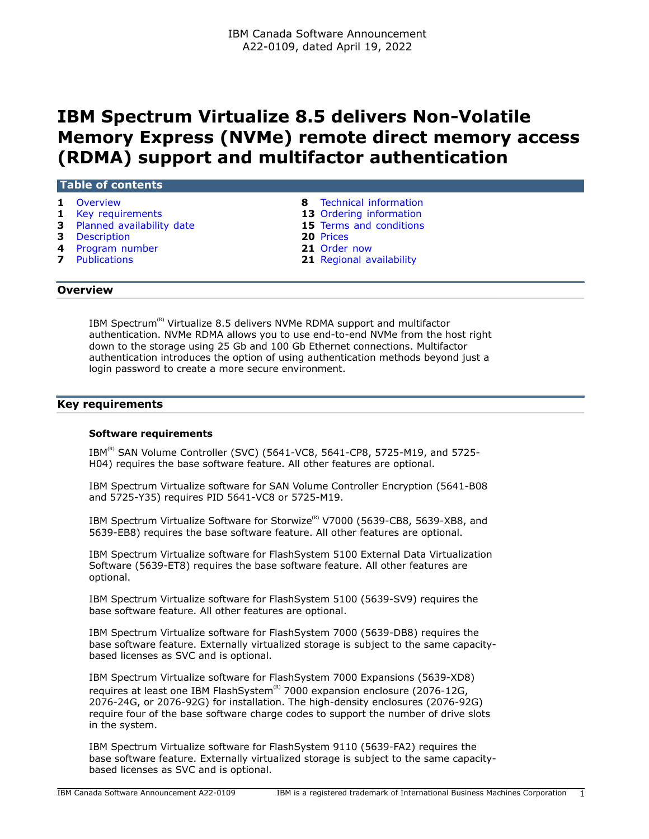# **IBM Spectrum Virtualize 8.5 delivers Non-Volatile Memory Express (NVMe) remote direct memory access (RDMA) support and multifactor authentication**

# **Table of contents**

- 
- **1** [Key requirements](#page-0-1) **13** [Ordering information](#page-12-0)
- **3** [Planned availability date](#page-2-0) **15** [Terms and conditions](#page-14-0)
- **3** [Description](#page-2-1) **20** [Prices](#page-19-0)
- **4** [Program number](#page-3-0) **21** [Order now](#page-20-0)
- 
- **1** [Overview](#page-0-0) **8** [Technical information](#page-7-0)
	-
	-
	-
	-
- **7** [Publications](#page-6-0) **21** [Regional availability](#page-20-1)

# <span id="page-0-0"></span>**Overview**

IBM Spectrum<sup>(R)</sup> Virtualize 8.5 delivers NVMe RDMA support and multifactor authentication. NVMe RDMA allows you to use end-to-end NVMe from the host right down to the storage using 25 Gb and 100 Gb Ethernet connections. Multifactor authentication introduces the option of using authentication methods beyond just a login password to create a more secure environment.

# <span id="page-0-1"></span>**Key requirements**

#### **Software requirements**

IBM<sup>(R)</sup> SAN Volume Controller (SVC) (5641-VC8, 5641-CP8, 5725-M19, and 5725-H04) requires the base software feature. All other features are optional.

IBM Spectrum Virtualize software for SAN Volume Controller Encryption (5641-B08 and 5725-Y35) requires PID 5641-VC8 or 5725-M19.

IBM Spectrum Virtualize Software for Storwize<sup>(R)</sup> V7000 (5639-CB8, 5639-XB8, and 5639-EB8) requires the base software feature. All other features are optional.

IBM Spectrum Virtualize software for FlashSystem 5100 External Data Virtualization Software (5639-ET8) requires the base software feature. All other features are optional.

IBM Spectrum Virtualize software for FlashSystem 5100 (5639-SV9) requires the base software feature. All other features are optional.

IBM Spectrum Virtualize software for FlashSystem 7000 (5639-DB8) requires the base software feature. Externally virtualized storage is subject to the same capacitybased licenses as SVC and is optional.

IBM Spectrum Virtualize software for FlashSystem 7000 Expansions (5639-XD8) requires at least one IBM FlashSystem $\binom{R}{k}$  7000 expansion enclosure (2076-12G, 2076-24G, or 2076-92G) for installation. The high-density enclosures (2076-92G) require four of the base software charge codes to support the number of drive slots in the system.

IBM Spectrum Virtualize software for FlashSystem 9110 (5639-FA2) requires the base software feature. Externally virtualized storage is subject to the same capacitybased licenses as SVC and is optional.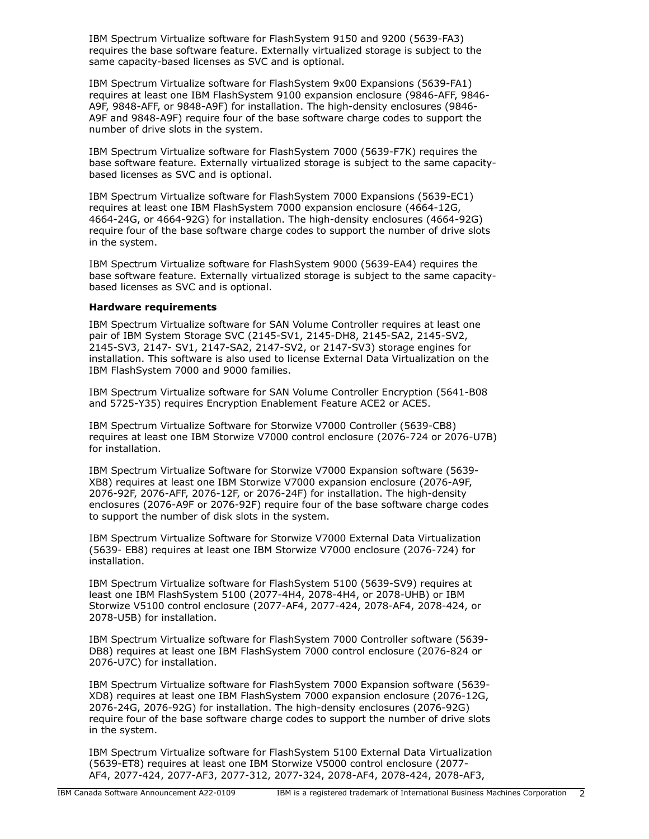IBM Spectrum Virtualize software for FlashSystem 9150 and 9200 (5639-FA3) requires the base software feature. Externally virtualized storage is subject to the same capacity-based licenses as SVC and is optional.

IBM Spectrum Virtualize software for FlashSystem 9x00 Expansions (5639-FA1) requires at least one IBM FlashSystem 9100 expansion enclosure (9846-AFF, 9846- A9F, 9848-AFF, or 9848-A9F) for installation. The high-density enclosures (9846- A9F and 9848-A9F) require four of the base software charge codes to support the number of drive slots in the system.

IBM Spectrum Virtualize software for FlashSystem 7000 (5639-F7K) requires the base software feature. Externally virtualized storage is subject to the same capacitybased licenses as SVC and is optional.

IBM Spectrum Virtualize software for FlashSystem 7000 Expansions (5639-EC1) requires at least one IBM FlashSystem 7000 expansion enclosure (4664-12G, 4664-24G, or 4664-92G) for installation. The high-density enclosures (4664-92G) require four of the base software charge codes to support the number of drive slots in the system.

IBM Spectrum Virtualize software for FlashSystem 9000 (5639-EA4) requires the base software feature. Externally virtualized storage is subject to the same capacitybased licenses as SVC and is optional.

#### **Hardware requirements**

IBM Spectrum Virtualize software for SAN Volume Controller requires at least one pair of IBM System Storage SVC (2145-SV1, 2145-DH8, 2145-SA2, 2145-SV2, 2145-SV3, 2147- SV1, 2147-SA2, 2147-SV2, or 2147-SV3) storage engines for installation. This software is also used to license External Data Virtualization on the IBM FlashSystem 7000 and 9000 families.

IBM Spectrum Virtualize software for SAN Volume Controller Encryption (5641-B08 and 5725-Y35) requires Encryption Enablement Feature ACE2 or ACE5.

IBM Spectrum Virtualize Software for Storwize V7000 Controller (5639-CB8) requires at least one IBM Storwize V7000 control enclosure (2076-724 or 2076-U7B) for installation.

IBM Spectrum Virtualize Software for Storwize V7000 Expansion software (5639- XB8) requires at least one IBM Storwize V7000 expansion enclosure (2076-A9F, 2076-92F, 2076-AFF, 2076-12F, or 2076-24F) for installation. The high-density enclosures (2076-A9F or 2076-92F) require four of the base software charge codes to support the number of disk slots in the system.

IBM Spectrum Virtualize Software for Storwize V7000 External Data Virtualization (5639- EB8) requires at least one IBM Storwize V7000 enclosure (2076-724) for installation.

IBM Spectrum Virtualize software for FlashSystem 5100 (5639-SV9) requires at least one IBM FlashSystem 5100 (2077-4H4, 2078-4H4, or 2078-UHB) or IBM Storwize V5100 control enclosure (2077-AF4, 2077-424, 2078-AF4, 2078-424, or 2078-U5B) for installation.

IBM Spectrum Virtualize software for FlashSystem 7000 Controller software (5639- DB8) requires at least one IBM FlashSystem 7000 control enclosure (2076-824 or 2076-U7C) for installation.

IBM Spectrum Virtualize software for FlashSystem 7000 Expansion software (5639- XD8) requires at least one IBM FlashSystem 7000 expansion enclosure (2076-12G, 2076-24G, 2076-92G) for installation. The high-density enclosures (2076-92G) require four of the base software charge codes to support the number of drive slots in the system.

IBM Spectrum Virtualize software for FlashSystem 5100 External Data Virtualization (5639-ET8) requires at least one IBM Storwize V5000 control enclosure (2077- AF4, 2077-424, 2077-AF3, 2077-312, 2077-324, 2078-AF4, 2078-424, 2078-AF3,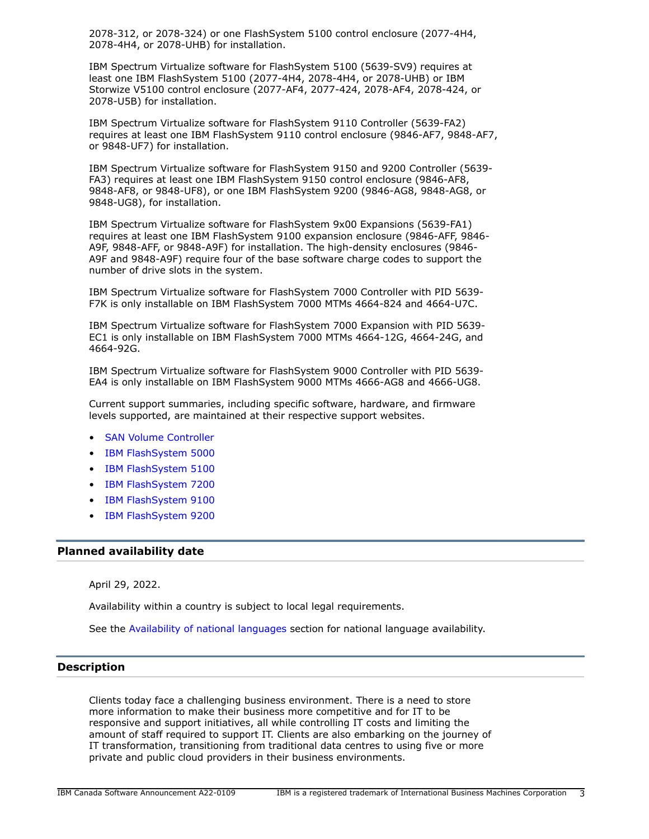2078-312, or 2078-324) or one FlashSystem 5100 control enclosure (2077-4H4, 2078-4H4, or 2078-UHB) for installation.

IBM Spectrum Virtualize software for FlashSystem 5100 (5639-SV9) requires at least one IBM FlashSystem 5100 (2077-4H4, 2078-4H4, or 2078-UHB) or IBM Storwize V5100 control enclosure (2077-AF4, 2077-424, 2078-AF4, 2078-424, or 2078-U5B) for installation.

IBM Spectrum Virtualize software for FlashSystem 9110 Controller (5639-FA2) requires at least one IBM FlashSystem 9110 control enclosure (9846-AF7, 9848-AF7, or 9848-UF7) for installation.

IBM Spectrum Virtualize software for FlashSystem 9150 and 9200 Controller (5639- FA3) requires at least one IBM FlashSystem 9150 control enclosure (9846-AF8, 9848-AF8, or 9848-UF8), or one IBM FlashSystem 9200 (9846-AG8, 9848-AG8, or 9848-UG8), for installation.

IBM Spectrum Virtualize software for FlashSystem 9x00 Expansions (5639-FA1) requires at least one IBM FlashSystem 9100 expansion enclosure (9846-AFF, 9846- A9F, 9848-AFF, or 9848-A9F) for installation. The high-density enclosures (9846- A9F and 9848-A9F) require four of the base software charge codes to support the number of drive slots in the system.

IBM Spectrum Virtualize software for FlashSystem 7000 Controller with PID 5639- F7K is only installable on IBM FlashSystem 7000 MTMs 4664-824 and 4664-U7C.

IBM Spectrum Virtualize software for FlashSystem 7000 Expansion with PID 5639- EC1 is only installable on IBM FlashSystem 7000 MTMs 4664-12G, 4664-24G, and 4664-92G.

IBM Spectrum Virtualize software for FlashSystem 9000 Controller with PID 5639- EA4 is only installable on IBM FlashSystem 9000 MTMs 4666-AG8 and 4666-UG8.

Current support summaries, including specific software, hardware, and firmware levels supported, are maintained at their respective support websites.

- [SAN Volume Controller](https://www.ibm.com/mysupport/s/topic/0TO0z000000Rf7lGAC/hwibm-san-volume-controller?language=en_US&productId=01t50000005Tg3M)
- [IBM FlashSystem 5000](https://www.ibm.com/mysupport/s/topic/0TO0z000000ZT0YGAW/flashsystem-5000?language=en_US&productId=01t0z000007lcrSAAQ)
- [IBM FlashSystem 5100](https://www.ibm.com/mysupport/s/topic/0TO0z000000ZT0ZGAW/flashsystem-5100?language=en_US&productId=01t0z000007lcrTAAQ)
- [IBM FlashSystem 7200](https://www.ibm.com/mysupport/s/topic/0TO0z000000ZT0dGAG/flashsystem-7200?language=en_US&productId=01t0z000007lcrXAAQ)
- [IBM FlashSystem 9100](https://www.ibm.com/mysupport/s/topic/0TO0z000000Rf7qGAC/hwibm-flashsystem-9100?language=en_US&productId=01t50000005Tg3jAAC)
- [IBM FlashSystem 9200](https://www.ibm.com/mysupport/s/topic/0TO0z000000ZT0iGAG/flashsystem-9200)

# <span id="page-2-0"></span>**Planned availability date**

April 29, 2022.

Availability within a country is subject to local legal requirements.

See the [Availability of national languages](#page-3-1) section for national language availability.

# <span id="page-2-1"></span>**Description**

Clients today face a challenging business environment. There is a need to store more information to make their business more competitive and for IT to be responsive and support initiatives, all while controlling IT costs and limiting the amount of staff required to support IT. Clients are also embarking on the journey of IT transformation, transitioning from traditional data centres to using five or more private and public cloud providers in their business environments.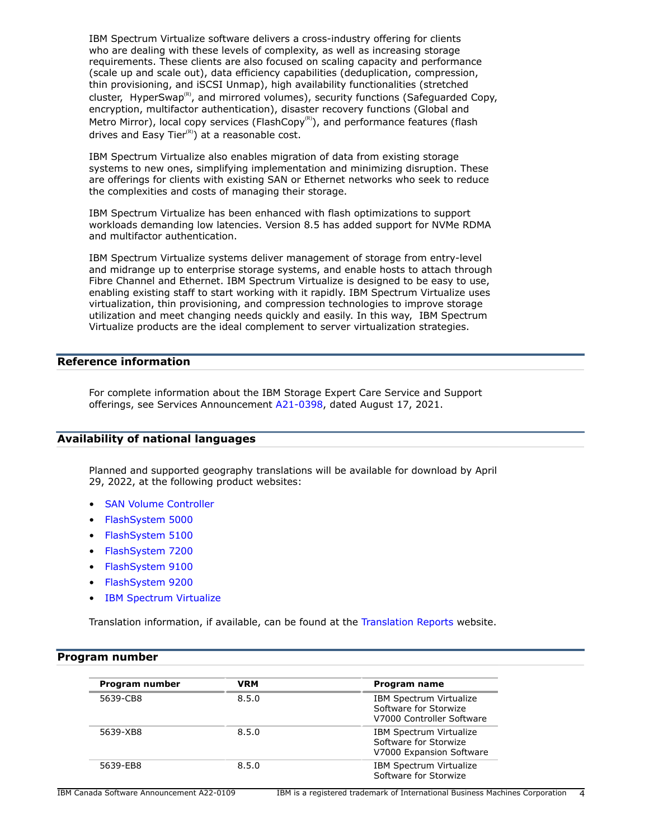IBM Spectrum Virtualize software delivers a cross-industry offering for clients who are dealing with these levels of complexity, as well as increasing storage requirements. These clients are also focused on scaling capacity and performance (scale up and scale out), data efficiency capabilities (deduplication, compression, thin provisioning, and iSCSI Unmap), high availability functionalities (stretched cluster, HyperSwap<sup>(R)</sup>, and mirrored volumes), security functions (Safeguarded Copy, encryption, multifactor authentication), disaster recovery functions (Global and Metro Mirror), local copy services (FlashCopy<sup>(R)</sup>), and performance features (flash drives and Easy Tier $(R)$  at a reasonable cost.

IBM Spectrum Virtualize also enables migration of data from existing storage systems to new ones, simplifying implementation and minimizing disruption. These are offerings for clients with existing SAN or Ethernet networks who seek to reduce the complexities and costs of managing their storage.

IBM Spectrum Virtualize has been enhanced with flash optimizations to support workloads demanding low latencies. Version 8.5 has added support for NVMe RDMA and multifactor authentication.

IBM Spectrum Virtualize systems deliver management of storage from entry-level and midrange up to enterprise storage systems, and enable hosts to attach through Fibre Channel and Ethernet. IBM Spectrum Virtualize is designed to be easy to use, enabling existing staff to start working with it rapidly. IBM Spectrum Virtualize uses virtualization, thin provisioning, and compression technologies to improve storage utilization and meet changing needs quickly and easily. In this way, IBM Spectrum Virtualize products are the ideal complement to server virtualization strategies.

# **Reference information**

For complete information about the IBM Storage Expert Care Service and Support offerings, see Services Announcement [A21-0398,](http://www.ibm.com/common/ssi/cgi-bin/ssialias?infotype=an&subtype=ca&appname=gpateam&supplier=649&letternum=ENUSA21-0398) dated August 17, 2021.

### <span id="page-3-1"></span>**Availability of national languages**

Planned and supported geography translations will be available for download by April 29, 2022, at the following product websites:

- [SAN Volume Controller](https://www.ibm.com/mysupport/s/topic/0TO0z000000Rf7lGAC/hwibm-san-volume-controller?language=en_US&productId=01t50000005Tg3M)
- [FlashSystem 5000](https://www.ibm.com/mysupport/s/topic/0TO0z000000ZT0YGAW/flashsystem-5000?language=en_US&productId=01t0z000007lcrSAAQ)
- [FlashSystem 5100](https://www.ibm.com/mysupport/s/topic/0TO0z000000ZT0ZGAW/flashsystem-5100?language=en_US&productId=01t0z000007lcrTAAQ)
- [FlashSystem 7200](https://www.ibm.com/mysupport/s/topic/0TO0z000000ZT0dGAG/flashsystem-7200?language=en_US&productId=01t0z000007lcrXAAQ)
- [FlashSystem 9100](https://www.ibm.com/mysupport/s/topic/0TO0z000000Rf7qGAC/hwibm-flashsystem-9100?language=en_US&productId=01t50000005Tg3jAAC)
- [FlashSystem 9200](https://www.ibm.com/mysupport/s/topic/0TO0z000000ZT0iGAG/flashsystem-9200?language=en_US&productId=01t0z000007lcrcAAA)
- [IBM Spectrum Virtualize](https://www.ibm.com/docs/en/spectrumvirtualsoftw)

Translation information, if available, can be found at the [Translation Reports](http://www.ibm.com/software/reports/compatibility/clarity/languageCategory.html) website.

#### <span id="page-3-0"></span>**Program number**

| Program number | <b>VRM</b> | Program name                                                                         |
|----------------|------------|--------------------------------------------------------------------------------------|
| 5639-CB8       | 8.5.0      | <b>IBM Spectrum Virtualize</b><br>Software for Storwize<br>V7000 Controller Software |
| 5639-XB8       | 8.5.0      | <b>IBM Spectrum Virtualize</b><br>Software for Storwize<br>V7000 Expansion Software  |
| 5639-EB8       | 8.5.0      | IBM Spectrum Virtualize<br>Software for Storwize                                     |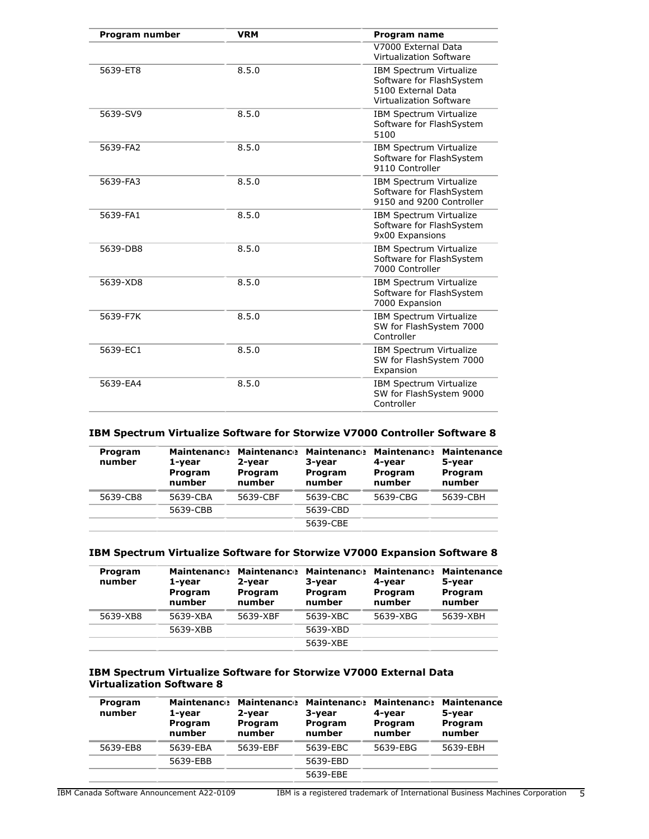| Program number | <b>VRM</b> | <b>Program name</b>                                                                                  |
|----------------|------------|------------------------------------------------------------------------------------------------------|
|                |            | V7000 External Data<br>Virtualization Software                                                       |
| 5639-ET8       | 8.5.0      | IBM Spectrum Virtualize<br>Software for FlashSystem<br>5100 External Data<br>Virtualization Software |
| 5639-SV9       | 8.5.0      | IBM Spectrum Virtualize<br>Software for FlashSystem<br>5100                                          |
| 5639-FA2       | 8.5.0      | IBM Spectrum Virtualize<br>Software for FlashSystem<br>9110 Controller                               |
| 5639-FA3       | 8.5.0      | IBM Spectrum Virtualize<br>Software for FlashSystem<br>9150 and 9200 Controller                      |
| 5639-FA1       | 8.5.0      | IBM Spectrum Virtualize<br>Software for FlashSystem<br>9x00 Expansions                               |
| 5639-DB8       | 8.5.0      | IBM Spectrum Virtualize<br>Software for FlashSystem<br>7000 Controller                               |
| 5639-XD8       | 8.5.0      | IBM Spectrum Virtualize<br>Software for FlashSystem<br>7000 Expansion                                |
| 5639-F7K       | 8.5.0      | IBM Spectrum Virtualize<br>SW for FlashSystem 7000<br>Controller                                     |
| 5639-EC1       | 8.5.0      | IBM Spectrum Virtualize<br>SW for FlashSystem 7000<br>Expansion                                      |
| 5639-EA4       | 8.5.0      | IBM Spectrum Virtualize<br>SW for FlashSystem 9000<br>Controller                                     |

# **IBM Spectrum Virtualize Software for Storwize V7000 Controller Software 8**

| Program<br>number | <b>Maintenance</b><br>1-year<br>Program<br>number | <b>Maintenance</b><br>2-year<br>Program<br>number | 3-year<br>Program<br>number | <b>Maintenance Maintenance</b><br>4-year<br>Program<br>number | <b>Maintenance</b><br>5-year<br>Program<br>number |
|-------------------|---------------------------------------------------|---------------------------------------------------|-----------------------------|---------------------------------------------------------------|---------------------------------------------------|
| 5639-CB8          | 5639-CBA                                          | 5639-CBF                                          | 5639-CBC                    | 5639-CBG                                                      | 5639-CBH                                          |
|                   | 5639-CBB                                          |                                                   | 5639-CBD                    |                                                               |                                                   |
|                   |                                                   |                                                   | 5639-CBE                    |                                                               |                                                   |

# **IBM Spectrum Virtualize Software for Storwize V7000 Expansion Software 8**

| Program<br>number | <b>Maintenance</b><br>1-year<br>Program<br>number | <b>Maintenance</b><br>2-year<br>Program<br>number | 3-year<br>Program<br>number | <b>Maintenance Maintenance</b><br>4-year<br>Program<br>number | <b>Maintenance</b><br>5-year<br>Program<br>number |
|-------------------|---------------------------------------------------|---------------------------------------------------|-----------------------------|---------------------------------------------------------------|---------------------------------------------------|
| 5639-XB8          | 5639-XBA                                          | 5639-XBF                                          | 5639-XBC                    | 5639-XBG                                                      | 5639-XBH                                          |
|                   | 5639-XBB                                          |                                                   | 5639-XBD                    |                                                               |                                                   |
|                   |                                                   |                                                   | 5639-XBE                    |                                                               |                                                   |

# **IBM Spectrum Virtualize Software for Storwize V7000 External Data Virtualization Software 8**

| Program<br>number | <b>Maintenance</b><br>1-year<br>Program<br>number | <b>Maintenance</b><br>2-year<br>Program<br>number | 3-year<br>Program<br>number | <b>Maintenance Maintenance</b><br>4-year<br>Program<br>number | <b>Maintenance</b><br>5-year<br>Program<br>number |
|-------------------|---------------------------------------------------|---------------------------------------------------|-----------------------------|---------------------------------------------------------------|---------------------------------------------------|
| 5639-EB8          | 5639-EBA                                          | 5639-EBF                                          | 5639-EBC                    | 5639-EBG                                                      | 5639-EBH                                          |
|                   | 5639-EBB                                          |                                                   | 5639-EBD                    |                                                               |                                                   |
|                   |                                                   |                                                   | 5639-EBE                    |                                                               |                                                   |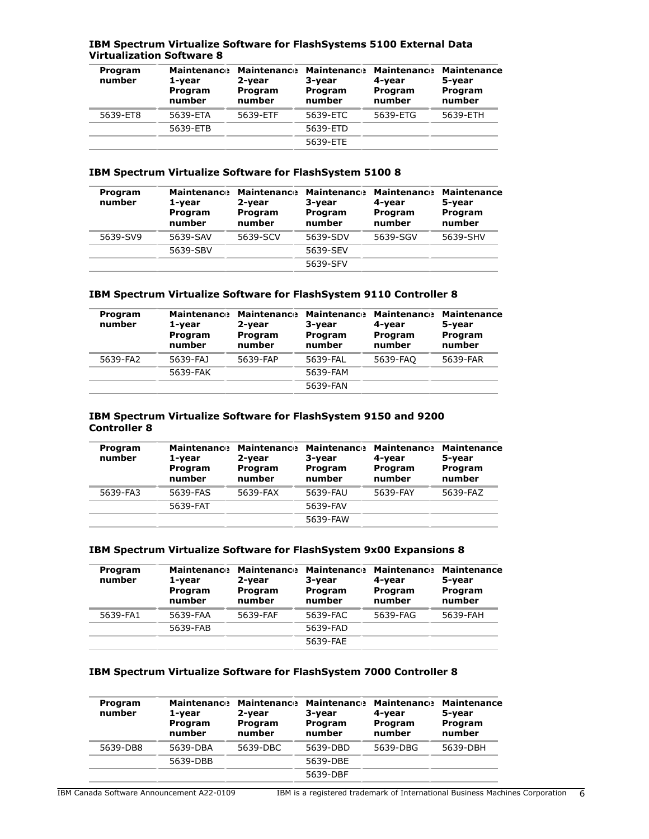# **IBM Spectrum Virtualize Software for FlashSystems 5100 External Data Virtualization Software 8**

| Program<br>number | <b>Maintenance</b><br>1-year<br>Program<br>number | <b>Maintenance</b><br>2-year<br>Program<br>number | 3-year<br>Program<br>number | <b>Maintenance Maintenance</b><br>4-year<br>Program<br>number | <b>Maintenance</b><br>5-year<br>Program<br>number |
|-------------------|---------------------------------------------------|---------------------------------------------------|-----------------------------|---------------------------------------------------------------|---------------------------------------------------|
| 5639-ET8          | 5639-ETA                                          | 5639-ETF                                          | 5639-ETC                    | 5639-ETG                                                      | 5639-ETH                                          |
|                   | 5639-ETB                                          |                                                   | 5639-ETD                    |                                                               |                                                   |
|                   |                                                   |                                                   | 5639-ETE                    |                                                               |                                                   |

# **IBM Spectrum Virtualize Software for FlashSystem 5100 8**

| Program<br>number | <b>Maintenance</b><br>1-year<br>Program<br>number | <b>Maintenance</b><br>2-year<br>Program<br>number | <b>Maintenance</b><br>3-year<br>Program<br>number | <b>Maintenance</b><br>4-year<br>Program<br>number | <b>Maintenance</b><br>5-year<br>Program<br>number |
|-------------------|---------------------------------------------------|---------------------------------------------------|---------------------------------------------------|---------------------------------------------------|---------------------------------------------------|
| 5639-SV9          | 5639-SAV                                          | 5639-SCV                                          | 5639-SDV                                          | 5639-SGV                                          | 5639-SHV                                          |
|                   | 5639-SBV                                          |                                                   | 5639-SEV                                          |                                                   |                                                   |
|                   |                                                   |                                                   | 5639-SFV                                          |                                                   |                                                   |

# **IBM Spectrum Virtualize Software for FlashSystem 9110 Controller 8**

| Program<br>number | <b>Maintenance</b><br>1-year<br>Program<br>number | <b>Maintenance</b><br>2-year<br>Program<br>number | <b>Maintenance Maintenance</b><br>3-year<br>Program<br>number | 4-vear<br>Program<br>number | <b>Maintenance</b><br>5-year<br>Program<br>number |
|-------------------|---------------------------------------------------|---------------------------------------------------|---------------------------------------------------------------|-----------------------------|---------------------------------------------------|
| 5639-FA2          | 5639-FAJ                                          | 5639-FAP                                          | 5639-FAL                                                      | 5639-FAO                    | 5639-FAR                                          |
|                   | 5639-FAK                                          |                                                   | 5639-FAM                                                      |                             |                                                   |
|                   |                                                   |                                                   | 5639-FAN                                                      |                             |                                                   |

#### **IBM Spectrum Virtualize Software for FlashSystem 9150 and 9200 Controller 8**

| 1-year<br>Program<br>number | 2-year<br>Program<br>number | 3-year<br>Program<br>number    | 4-year<br>Program<br>number | <b>Maintenance</b><br>5-year<br>Program<br>number |
|-----------------------------|-----------------------------|--------------------------------|-----------------------------|---------------------------------------------------|
| 5639-FAS                    | 5639-FAX                    | 5639-FAU                       | 5639-FAY                    | 5639-FAZ                                          |
| 5639-FAT                    |                             | 5639-FAV                       |                             |                                                   |
|                             |                             | 5639-FAW                       |                             |                                                   |
|                             |                             | <b>Maintenance Maintenance</b> |                             | Maintenance Maintenance                           |

# **IBM Spectrum Virtualize Software for FlashSystem 9x00 Expansions 8**

| Program<br>number | <b>Maintenance</b><br>1-year<br>Program<br>number | <b>Maintenance</b><br>2-year<br>Program<br>number | <b>Maintenance</b><br>3-year<br>Program<br>number | <b>Maintenance</b><br>4-year<br>Program<br>number | <b>Maintenance</b><br>5-year<br>Program<br>number |
|-------------------|---------------------------------------------------|---------------------------------------------------|---------------------------------------------------|---------------------------------------------------|---------------------------------------------------|
| 5639-FA1          | 5639-FAA                                          | 5639-FAF                                          | 5639-FAC                                          | 5639-FAG                                          | 5639-FAH                                          |
|                   | 5639-FAB                                          |                                                   | 5639-FAD                                          |                                                   |                                                   |
|                   |                                                   |                                                   | 5639-FAE                                          |                                                   |                                                   |

# **IBM Spectrum Virtualize Software for FlashSystem 7000 Controller 8**

| Program<br>number | <b>Maintenance</b><br>1-year<br>Program<br>number | <b>Maintenance</b><br>2-year<br>Program<br>number | <b>Maintenance</b><br>3-year<br>Program<br>number | <b>Maintenance</b><br>4-vear<br>Program<br>number | <b>Maintenance</b><br>5-year<br>Program<br>number |
|-------------------|---------------------------------------------------|---------------------------------------------------|---------------------------------------------------|---------------------------------------------------|---------------------------------------------------|
| 5639-DB8          | 5639-DBA                                          | 5639-DBC                                          | 5639-DBD                                          | 5639-DBG                                          | 5639-DBH                                          |
|                   | 5639-DBB                                          |                                                   | 5639-DBE                                          |                                                   |                                                   |
|                   |                                                   |                                                   | 5639-DBF                                          |                                                   |                                                   |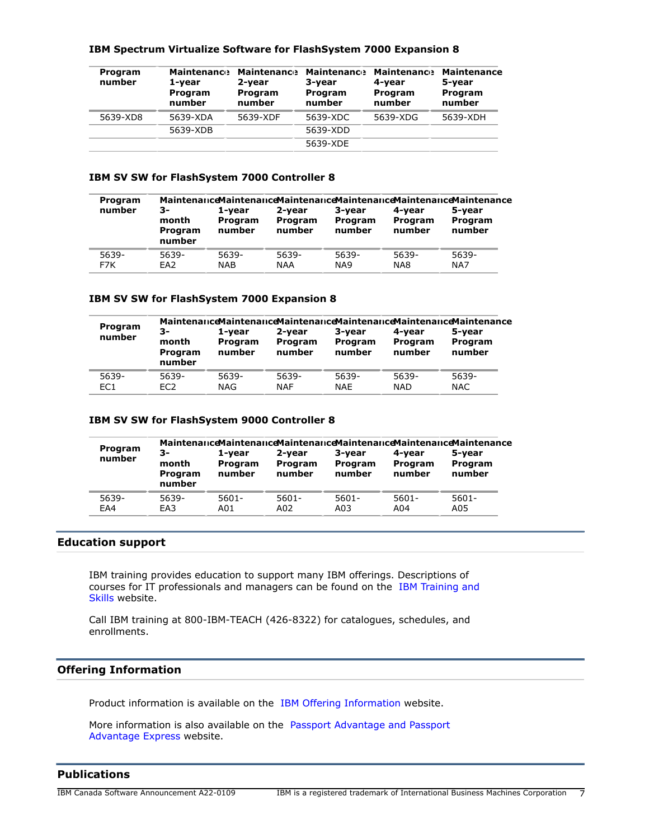| Program<br>number | 19: : Opeen and theathle borenare for thoughorem 7000 Expandion o<br><b>Maintenance</b><br>1-vear<br>Program<br>number | <b>Maintenance</b><br>2-vear<br><b>Program</b><br>number | <b>Maintenance</b><br>3-vear<br><b>Program</b><br>number | <b>Maintenance</b><br>4-vear<br><b>Program</b><br>number | <b>Maintenance</b><br>5-vear<br>Program<br>number |
|-------------------|------------------------------------------------------------------------------------------------------------------------|----------------------------------------------------------|----------------------------------------------------------|----------------------------------------------------------|---------------------------------------------------|
|                   |                                                                                                                        |                                                          |                                                          |                                                          |                                                   |
| 5639-XD8          | 5639-XDA                                                                                                               | 5639-XDF                                                 | 5639-XDC                                                 | 5639-XDG                                                 | 5639-XDH                                          |

# **IBM Spectrum Virtualize Software for FlashSystem 7000 Expansion 8**

5639-XDB 5639-XDD

## **IBM SV SW for FlashSystem 7000 Controller 8**

| Program<br>number | 3-<br>month<br>Program | 1-vear<br>Program<br>number | 2-vear<br>Program<br>number | 3-year<br>Program<br>number | 4-vear<br>Program<br>number | Maintenance Maintenance Maintenance Maintenance Maintenance Maintenance<br>5-year<br>Program<br>number |
|-------------------|------------------------|-----------------------------|-----------------------------|-----------------------------|-----------------------------|--------------------------------------------------------------------------------------------------------|
| 5639-<br>F7K      | number<br>5639-<br>EA2 | 5639-<br><b>NAB</b>         | 5639-<br><b>NAA</b>         | 5639-<br>NA9                | 5639-<br>NA8                | 5639-<br>NA7                                                                                           |

5639-XDE

#### **IBM SV SW for FlashSystem 7000 Expansion 8**

|                          | Maintenance Maintenance Maintenance Maintenance Maintenance Maintenance |                             |                             |                             |                             |                             |
|--------------------------|-------------------------------------------------------------------------|-----------------------------|-----------------------------|-----------------------------|-----------------------------|-----------------------------|
| Program<br>number        | 3-<br>month<br>Program<br>number                                        | 1-vear<br>Program<br>number | 2-vear<br>Program<br>number | 3-vear<br>Program<br>number | 4-vear<br>Program<br>number | 5-vear<br>Program<br>number |
| 5639-<br>EC <sub>1</sub> | 5639-<br>EC <sub>2</sub>                                                | 5639-<br><b>NAG</b>         | 5639-<br><b>NAF</b>         | 5639-<br><b>NAE</b>         | 5639-<br><b>NAD</b>         | 5639-<br><b>NAC</b>         |

#### **IBM SV SW for FlashSystem 9000 Controller 8**

| Program<br>number | 3-<br>month<br>Program<br>number | 1-vear<br>Program<br>number | 2-vear<br>Program<br>number | 3-vear<br>Program<br>number | 4-vear<br>Program<br>number | <b>MaintenanceMaintenanceMaintenanceMaintenanceMaintenanceMaintenance</b><br>5-year<br>Program<br>number |
|-------------------|----------------------------------|-----------------------------|-----------------------------|-----------------------------|-----------------------------|----------------------------------------------------------------------------------------------------------|
| 5639-             | 5639-                            | $5601 -$                    | $5601 -$                    | $5601 -$                    | $5601 -$                    | $5601 -$                                                                                                 |
| EA4               | FA3                              | A01                         | A02                         | A03                         | A04                         | A05                                                                                                      |

# **Education support**

IBM training provides education to support many IBM offerings. Descriptions of courses for IT professionals and managers can be found on the [IBM Training and](http://www.ibm.com/services/learning/) [Skills](http://www.ibm.com/services/learning/) website.

Call IBM training at 800-IBM-TEACH (426-8322) for catalogues, schedules, and enrollments.

# **Offering Information**

Product information is available on the [IBM Offering Information](http://www.ibm.com/common/ssi) website.

More information is also available on the [Passport Advantage and Passport](http://www.ibm.com/software/passportadvantage) [Advantage Express](http://www.ibm.com/software/passportadvantage) website.

# <span id="page-6-0"></span>**Publications**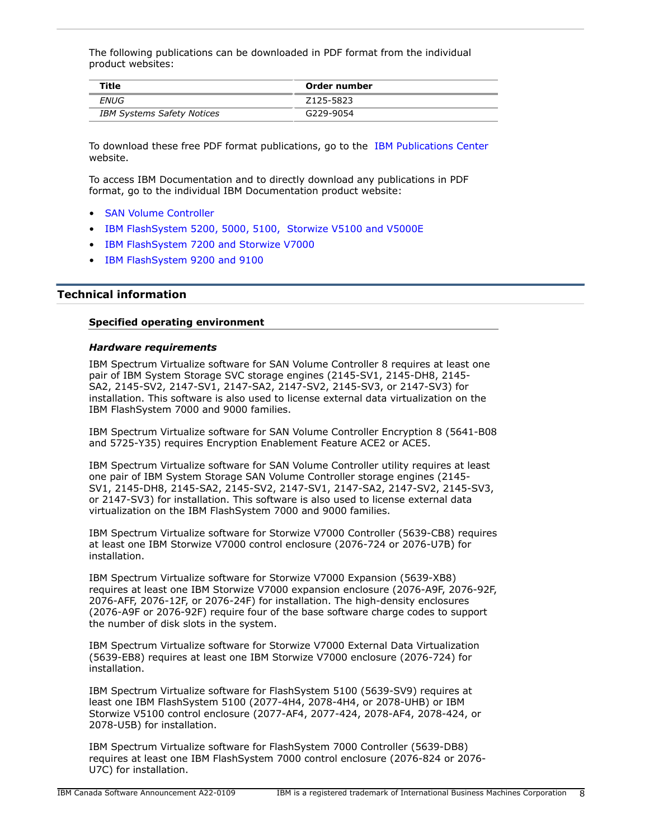The following publications can be downloaded in PDF format from the individual product websites:

| Title                             | Order number |
|-----------------------------------|--------------|
| ENUG                              | Z125-5823    |
| <b>IBM Systems Safety Notices</b> | G229-9054    |

To download these free PDF format publications, go to the [IBM Publications Center](http://www.ibm.com/shop/publications/order) website.

To access IBM Documentation and to directly download any publications in PDF format, go to the individual IBM Documentation product website:

- [SAN Volume Controller](https://www.ibm.com/docs/en/sanvolumecontroller)
- [IBM FlashSystem 5200, 5000, 5100, Storwize V5100 and V5000E](https://www.ibm.com/docs/en/flashsystem-5x00)
- [IBM FlashSystem 7200 and Storwize V7000](https://www.ibm.com/docs/en/flashsystem-7x00)
- [IBM FlashSystem 9200 and 9100](https://www.ibm.com/docs/en/flashsystem-9x00)

# <span id="page-7-0"></span>**Technical information**

#### **Specified operating environment**

# <span id="page-7-1"></span>*Hardware requirements*

IBM Spectrum Virtualize software for SAN Volume Controller 8 requires at least one pair of IBM System Storage SVC storage engines (2145-SV1, 2145-DH8, 2145- SA2, 2145-SV2, 2147-SV1, 2147-SA2, 2147-SV2, 2145-SV3, or 2147-SV3) for installation. This software is also used to license external data virtualization on the IBM FlashSystem 7000 and 9000 families.

IBM Spectrum Virtualize software for SAN Volume Controller Encryption 8 (5641-B08 and 5725-Y35) requires Encryption Enablement Feature ACE2 or ACE5.

IBM Spectrum Virtualize software for SAN Volume Controller utility requires at least one pair of IBM System Storage SAN Volume Controller storage engines (2145- SV1, 2145-DH8, 2145-SA2, 2145-SV2, 2147-SV1, 2147-SA2, 2147-SV2, 2145-SV3, or 2147-SV3) for installation. This software is also used to license external data virtualization on the IBM FlashSystem 7000 and 9000 families.

IBM Spectrum Virtualize software for Storwize V7000 Controller (5639-CB8) requires at least one IBM Storwize V7000 control enclosure (2076-724 or 2076-U7B) for installation.

IBM Spectrum Virtualize software for Storwize V7000 Expansion (5639-XB8) requires at least one IBM Storwize V7000 expansion enclosure (2076-A9F, 2076-92F, 2076-AFF, 2076-12F, or 2076-24F) for installation. The high-density enclosures (2076-A9F or 2076-92F) require four of the base software charge codes to support the number of disk slots in the system.

IBM Spectrum Virtualize software for Storwize V7000 External Data Virtualization (5639-EB8) requires at least one IBM Storwize V7000 enclosure (2076-724) for installation.

IBM Spectrum Virtualize software for FlashSystem 5100 (5639-SV9) requires at least one IBM FlashSystem 5100 (2077-4H4, 2078-4H4, or 2078-UHB) or IBM Storwize V5100 control enclosure (2077-AF4, 2077-424, 2078-AF4, 2078-424, or 2078-U5B) for installation.

IBM Spectrum Virtualize software for FlashSystem 7000 Controller (5639-DB8) requires at least one IBM FlashSystem 7000 control enclosure (2076-824 or 2076- U7C) for installation.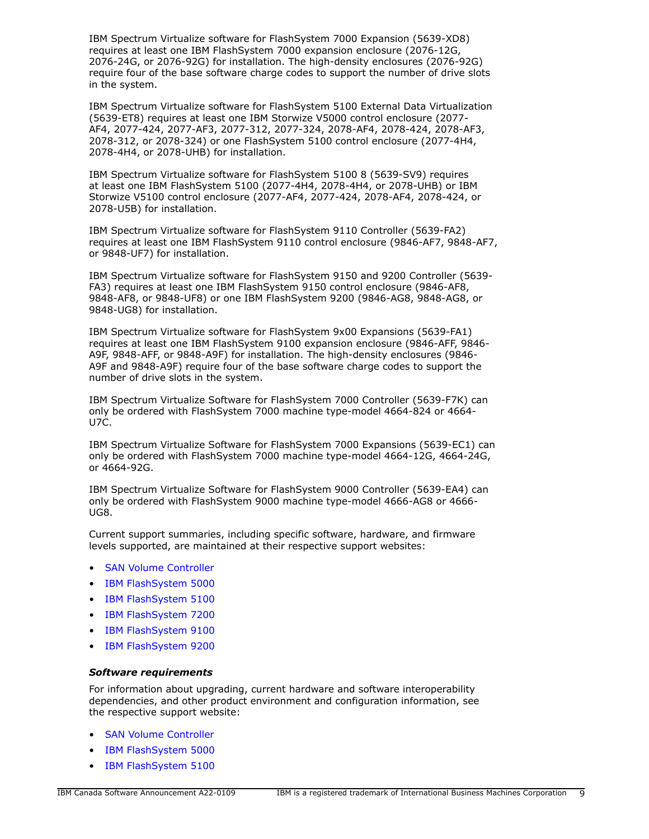IBM Spectrum Virtualize software for FlashSystem 7000 Expansion (5639-XD8) requires at least one IBM FlashSystem 7000 expansion enclosure (2076-12G, 2076-24G, or 2076-92G) for installation. The high-density enclosures (2076-92G) require four of the base software charge codes to support the number of drive slots in the system.

IBM Spectrum Virtualize software for FlashSystem 5100 External Data Virtualization (5639-ET8) requires at least one IBM Storwize V5000 control enclosure (2077- AF4, 2077-424, 2077-AF3, 2077-312, 2077-324, 2078-AF4, 2078-424, 2078-AF3, 2078-312, or 2078-324) or one FlashSystem 5100 control enclosure (2077-4H4, 2078-4H4, or 2078-UHB) for installation.

IBM Spectrum Virtualize software for FlashSystem 5100 8 (5639-SV9) requires at least one IBM FlashSystem 5100 (2077-4H4, 2078-4H4, or 2078-UHB) or IBM Storwize V5100 control enclosure (2077-AF4, 2077-424, 2078-AF4, 2078-424, or 2078-U5B) for installation.

IBM Spectrum Virtualize software for FlashSystem 9110 Controller (5639-FA2) requires at least one IBM FlashSystem 9110 control enclosure (9846-AF7, 9848-AF7, or 9848-UF7) for installation.

IBM Spectrum Virtualize software for FlashSystem 9150 and 9200 Controller (5639- FA3) requires at least one IBM FlashSystem 9150 control enclosure (9846-AF8, 9848-AF8, or 9848-UF8) or one IBM FlashSystem 9200 (9846-AG8, 9848-AG8, or 9848-UG8) for installation.

IBM Spectrum Virtualize software for FlashSystem 9x00 Expansions (5639-FA1) requires at least one IBM FlashSystem 9100 expansion enclosure (9846-AFF, 9846- A9F, 9848-AFF, or 9848-A9F) for installation. The high-density enclosures (9846- A9F and 9848-A9F) require four of the base software charge codes to support the number of drive slots in the system.

IBM Spectrum Virtualize Software for FlashSystem 7000 Controller (5639-F7K) can only be ordered with FlashSystem 7000 machine type-model 4664-824 or 4664- U7C.

IBM Spectrum Virtualize Software for FlashSystem 7000 Expansions (5639-EC1) can only be ordered with FlashSystem 7000 machine type-model 4664-12G, 4664-24G, or 4664-92G.

IBM Spectrum Virtualize Software for FlashSystem 9000 Controller (5639-EA4) can only be ordered with FlashSystem 9000 machine type-model 4666-AG8 or 4666- UG8.

Current support summaries, including specific software, hardware, and firmware levels supported, are maintained at their respective support websites:

- [SAN Volume Controller](https://www.ibm.com/mysupport/s/topic/0TO0z000000Rf7lGAC/hwibm-san-volume-controller?language=en_US&productId=01t50000005Tg3M)
- [IBM FlashSystem 5000](https://www.ibm.com/mysupport/s/topic/0TO0z000000ZT0YGAW/flashsystem-5000?language=en_US&productId=01t0z000007lcrSAAQ)
- [IBM FlashSystem 5100](https://www.ibm.com/mysupport/s/topic/0TO0z000000ZT0ZGAW/flashsystem-5100?language=en_US&productId=01t0z000007lcrTAAQ)
- [IBM FlashSystem 7200](https://www.ibm.com/mysupport/s/topic/0TO0z000000ZT0dGAG/flashsystem-7200?language=en_US&productId=01t0z000007lcrXAAQ)
- [IBM FlashSystem 9100](https://www.ibm.com/mysupport/s/topic/0TO0z000000Rf7qGAC/hwibm-flashsystem-9100?language=en_US&productId=01t50000005Tg3jAAC)
- [IBM FlashSystem 9200](https://www.ibm.com/mysupport/s/topic/0TO0z000000ZT0iGAG/flashsystem-9200)

#### *Software requirements*

For information about upgrading, current hardware and software interoperability dependencies, and other product environment and configuration information, see the respective support website:

- [SAN Volume Controller](https://www.ibm.com/mysupport/s/topic/0TO0z000000Rf7lGAC/hwibm-san-volume-controller?language=en_US&productId=01t50000005Tg3M)
- [IBM FlashSystem 5000](https://www.ibm.com/mysupport/s/topic/0TO0z000000ZT0YGAW/flashsystem-5000?language=en_US&productId=01t0z000007lcrSAAQ)
- [IBM FlashSystem 5100](https://www.ibm.com/mysupport/s/topic/0TO0z000000ZT0ZGAW/flashsystem-5100?language=en_US&productId=01t0z000007lcrTAAQ)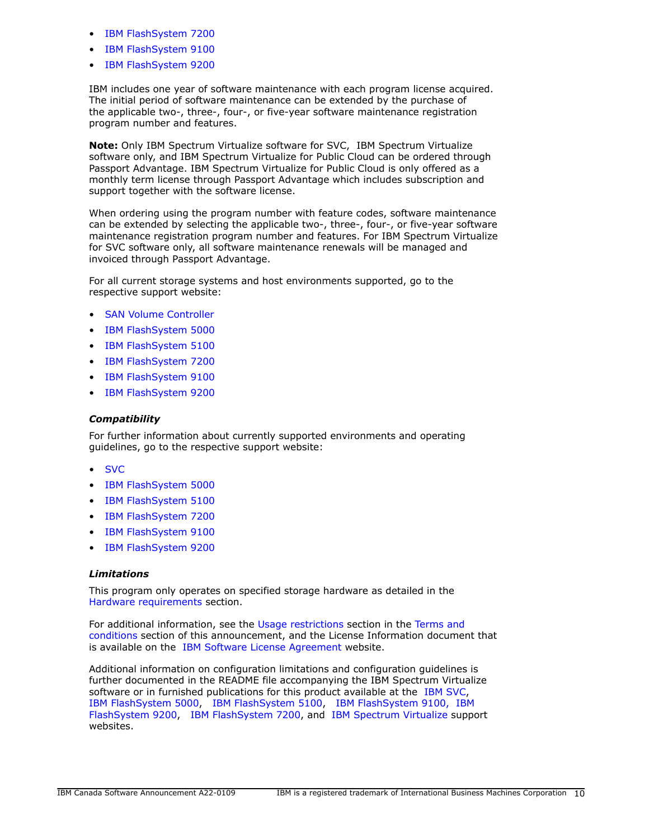- [IBM FlashSystem 7200](https://www.ibm.com/mysupport/s/topic/0TO0z000000ZT0dGAG/flashsystem-7200?language=en_US&productId=01t0z000007lcrXAAQ)
- [IBM FlashSystem 9100](https://www.ibm.com/mysupport/s/topic/0TO0z000000Rf7qGAC/hwibm-flashsystem-9100?language=en_US&productId=01t50000005Tg3jAAC)
- [IBM FlashSystem 9200](https://www.ibm.com/mysupport/s/topic/0TO0z000000ZT0iGAG/flashsystem-9200)

IBM includes one year of software maintenance with each program license acquired. The initial period of software maintenance can be extended by the purchase of the applicable two-, three-, four-, or five-year software maintenance registration program number and features.

**Note:** Only IBM Spectrum Virtualize software for SVC, IBM Spectrum Virtualize software only, and IBM Spectrum Virtualize for Public Cloud can be ordered through Passport Advantage. IBM Spectrum Virtualize for Public Cloud is only offered as a monthly term license through Passport Advantage which includes subscription and support together with the software license.

When ordering using the program number with feature codes, software maintenance can be extended by selecting the applicable two-, three-, four-, or five-year software maintenance registration program number and features. For IBM Spectrum Virtualize for SVC software only, all software maintenance renewals will be managed and invoiced through Passport Advantage.

For all current storage systems and host environments supported, go to the respective support website:

- [SAN Volume Controller](https://www.ibm.com/mysupport/s/topic/0TO0z000000Rf7lGAC/hwibm-san-volume-controller?language=en_US&productId=01t50000005Tg3M)
- [IBM FlashSystem 5000](https://www.ibm.com/mysupport/s/topic/0TO0z000000ZT0YGAW/flashsystem-5000?language=en_US&productId=01t0z000007lcrSAAQ)
- [IBM FlashSystem 5100](https://www.ibm.com/mysupport/s/topic/0TO0z000000ZT0ZGAW/flashsystem-5100?language=en_US&productId=01t0z000007lcrTAAQ)
- [IBM FlashSystem 7200](bbbhttps://www.ibm.com/mysupport/s/topic/0TO0z000000ZT0dGAG/flashsystem-7200?language=en_US&productId=01t0z000007lcrXAAQ)
- [IBM FlashSystem 9100](https://www.ibm.com/mysupport/s/topic/0TO0z000000Rf7qGAC/hwibm-flashsystem-9100?language=en_US&productId=01t50000005Tg3jAAC)
- [IBM FlashSystem 9200](https://www.ibm.com/mysupport/s/topic/0TO0z000000ZT0iGAG/flashsystem-9200)

# *Compatibility*

For further information about currently supported environments and operating guidelines, go to the respective support website:

- [SVC](https://www.ibm.com/mysupport/s/topic/0TO0z000000Rf7lGAC/hwibm-san-volume-controller?language=en_US&productId=01t50000005Tg3M)
- [IBM FlashSystem 5000](https://www.ibm.com/mysupport/s/topic/0TO0z000000ZT0YGAW/flashsystem-5000?language=en_US&productId=01t0z000007lcrSAAQ)
- [IBM FlashSystem 5100](https://www.ibm.com/mysupport/s/topic/0TO0z000000ZT0ZGAW/flashsystem-5100?language=en_US&productId=01t0z000007lcrTAAQ)
- [IBM FlashSystem 7200](https://www.ibm.com/mysupport/s/topic/0TO0z000000ZT0dGAG/flashsystem-7200?language=en_US&productId=01t0z000007lcrXAAQ)
- [IBM FlashSystem 9100](https://www.ibm.com/mysupport/s/topic/0TO0z000000Rf7qGAC/hwibm-flashsystem-9100?language=en_US&productId=01t50000005Tg3jAAC)
- [IBM FlashSystem 9200](https://www.ibm.com/mysupport/s/topic/0TO0z000000ZT0iGAG/flashsystem-9200)

# *Limitations*

This program only operates on specified storage hardware as detailed in the [Hardware requirements](#page-7-1) section.

For additional information, see the [Usage restrictions](#page-16-0) section in the [Terms and](#page-14-0) [conditions](#page-14-0) section of this announcement, and the License Information document that is available on the [IBM Software License Agreement](http://www.ibm.com/software/sla/sladb.nsf) website.

Additional information on configuration limitations and configuration guidelines is further documented in the README file accompanying the IBM Spectrum Virtualize software or in furnished publications for this product available at the [IBM SVC,](https://www.ibm.com/mysupport/s/topic/0TO0z000000Rf7lGAC/hwibm-san-volume-controller?language=en_US&productId=01t50000005Tg3M) [IBM FlashSystem 5000,](https://www.ibm.com/mysupport/s/topic/0TO0z000000ZT0YGAW/flashsystem-5000?language=en_US&productId=01t0z000007lcrSAAQ) [IBM FlashSystem 5100](https://www.ibm.com/mysupport/s/topic/0TO0z000000ZT0ZGAW/flashsystem-5100?language=en_US&productId=01t0z000007lcrTAAQ), [IBM FlashSystem 9100,](https://www.ibm.com/mysupport/s/topic/0TO0z000000Rf7qGAC/hwibm-flashsystem-9100?language=en_US&productId=01t50000005Tg3jAAC) [IBM](https://www.ibm.com/mysupport/s/topic/0TO0z000000ZT0iGAG/flashsystem-9200) [FlashSystem 9200](https://www.ibm.com/mysupport/s/topic/0TO0z000000ZT0iGAG/flashsystem-9200), [IBM FlashSystem 7200,](https://www.ibm.com/mysupport/s/topic/0TO0z000000ZT0dGAG/flashsystem-7200?language=en_US&productId=01t0z000007lcrXAAQ) and [IBM Spectrum Virtualize](https://www.ibm.com/mysupport/s/topic/0TO0z000000Rf82GAC/hwibm-spectrum-virtualize?productId=01t50000005Tg40AAC) support websites.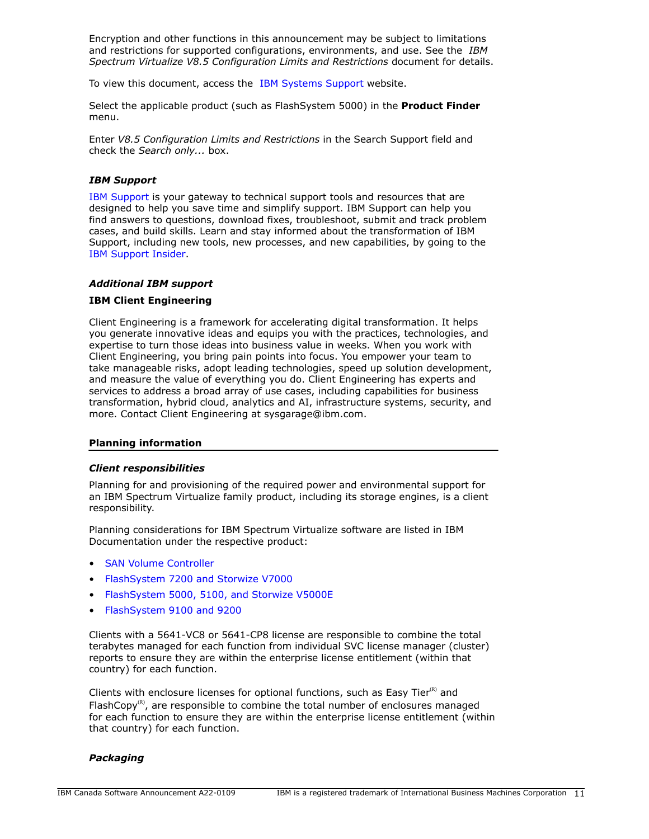Encryption and other functions in this announcement may be subject to limitations and restrictions for supported configurations, environments, and use. See the *IBM Spectrum Virtualize V8.5 Configuration Limits and Restrictions* document for details.

To view this document, access the [IBM Systems Support](http://www.ibm.com/support) website.

Select the applicable product (such as FlashSystem 5000) in the **Product Finder** menu.

Enter *V8.5 Configuration Limits and Restrictions* in the Search Support field and check the *Search only...* box.

## *IBM Support*

[IBM Support](https://www.ibm.com/support) is your gateway to technical support tools and resources that are designed to help you save time and simplify support. IBM Support can help you find answers to questions, download fixes, troubleshoot, submit and track problem cases, and build skills. Learn and stay informed about the transformation of IBM Support, including new tools, new processes, and new capabilities, by going to the [IBM Support Insider](https://www.ibm.com/support/insider).

# *Additional IBM support*

#### **IBM Client Engineering**

Client Engineering is a framework for accelerating digital transformation. It helps you generate innovative ideas and equips you with the practices, technologies, and expertise to turn those ideas into business value in weeks. When you work with Client Engineering, you bring pain points into focus. You empower your team to take manageable risks, adopt leading technologies, speed up solution development, and measure the value of everything you do. Client Engineering has experts and services to address a broad array of use cases, including capabilities for business transformation, hybrid cloud, analytics and AI, infrastructure systems, security, and more. Contact Client Engineering at sysgarage@ibm.com.

#### **Planning information**

#### *Client responsibilities*

Planning for and provisioning of the required power and environmental support for an IBM Spectrum Virtualize family product, including its storage engines, is a client responsibility.

Planning considerations for IBM Spectrum Virtualize software are listed in IBM Documentation under the respective product:

- [SAN Volume Controller](https://www.ibm.com/docs/en/sanvolumecontroller)
- [FlashSystem 7200 and Storwize V7000](https://www.ibm.com/docs/en/flashsystem-7x00)
- [FlashSystem 5000, 5100, and Storwize V5000E](https://www.ibm.com/docs/en/flashsystem-5x00)
- [FlashSystem 9100 and 9200](https://www.ibm.com/docs/en/flashsystem-9x00)

Clients with a 5641-VC8 or 5641-CP8 license are responsible to combine the total terabytes managed for each function from individual SVC license manager (cluster) reports to ensure they are within the enterprise license entitlement (within that country) for each function.

Clients with enclosure licenses for optional functions, such as Easy Tier $(R)$  and FlashCopy $<sup>(R)</sup>$ , are responsible to combine the total number of enclosures managed</sup> for each function to ensure they are within the enterprise license entitlement (within that country) for each function.

#### *Packaging*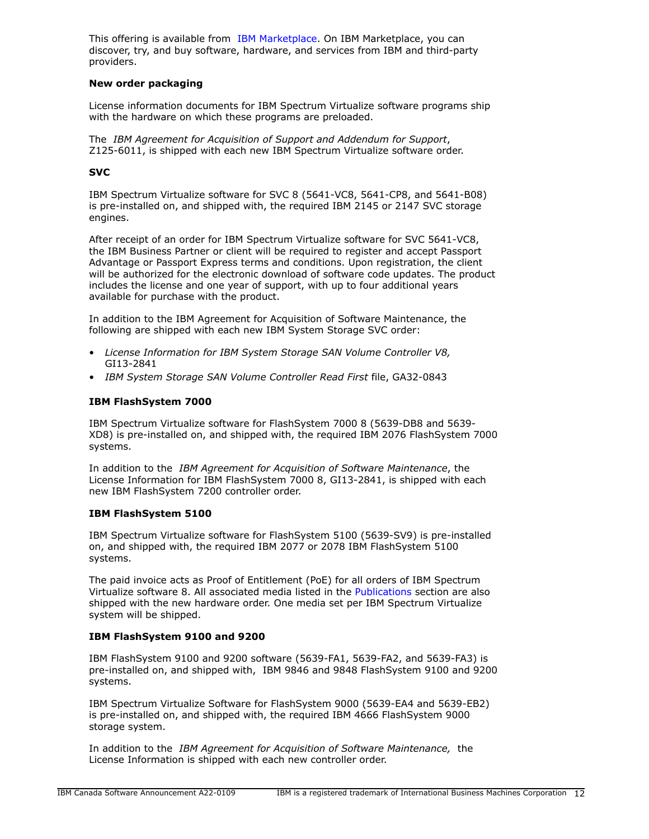This offering is available from [IBM Marketplace](https://www.ibm.com/us-en/marketplace). On IBM Marketplace, you can discover, try, and buy software, hardware, and services from IBM and third-party providers.

# **New order packaging**

License information documents for IBM Spectrum Virtualize software programs ship with the hardware on which these programs are preloaded.

The *IBM Agreement for Acquisition of Support and Addendum for Support*, Z125-6011, is shipped with each new IBM Spectrum Virtualize software order.

# **SVC**

IBM Spectrum Virtualize software for SVC 8 (5641-VC8, 5641-CP8, and 5641-B08) is pre-installed on, and shipped with, the required IBM 2145 or 2147 SVC storage engines.

After receipt of an order for IBM Spectrum Virtualize software for SVC 5641-VC8, the IBM Business Partner or client will be required to register and accept Passport Advantage or Passport Express terms and conditions. Upon registration, the client will be authorized for the electronic download of software code updates. The product includes the license and one year of support, with up to four additional years available for purchase with the product.

In addition to the IBM Agreement for Acquisition of Software Maintenance, the following are shipped with each new IBM System Storage SVC order:

- *License Information for IBM System Storage SAN Volume Controller V8,*  GI13-2841
- *IBM System Storage SAN Volume Controller Read First* file, GA32-0843

# **IBM FlashSystem 7000**

IBM Spectrum Virtualize software for FlashSystem 7000 8 (5639-DB8 and 5639- XD8) is pre-installed on, and shipped with, the required IBM 2076 FlashSystem 7000 systems.

In addition to the *IBM Agreement for Acquisition of Software Maintenance*, the License Information for IBM FlashSystem 7000 8, GI13-2841, is shipped with each new IBM FlashSystem 7200 controller order.

#### **IBM FlashSystem 5100**

IBM Spectrum Virtualize software for FlashSystem 5100 (5639-SV9) is pre-installed on, and shipped with, the required IBM 2077 or 2078 IBM FlashSystem 5100 systems.

The paid invoice acts as Proof of Entitlement (PoE) for all orders of IBM Spectrum Virtualize software 8. All associated media listed in the [Publications](#page-6-0) section are also shipped with the new hardware order. One media set per IBM Spectrum Virtualize system will be shipped.

# **IBM FlashSystem 9100 and 9200**

IBM FlashSystem 9100 and 9200 software (5639-FA1, 5639-FA2, and 5639-FA3) is pre-installed on, and shipped with, IBM 9846 and 9848 FlashSystem 9100 and 9200 systems.

IBM Spectrum Virtualize Software for FlashSystem 9000 (5639-EA4 and 5639-EB2) is pre-installed on, and shipped with, the required IBM 4666 FlashSystem 9000 storage system.

In addition to the *IBM Agreement for Acquisition of Software Maintenance,* the License Information is shipped with each new controller order.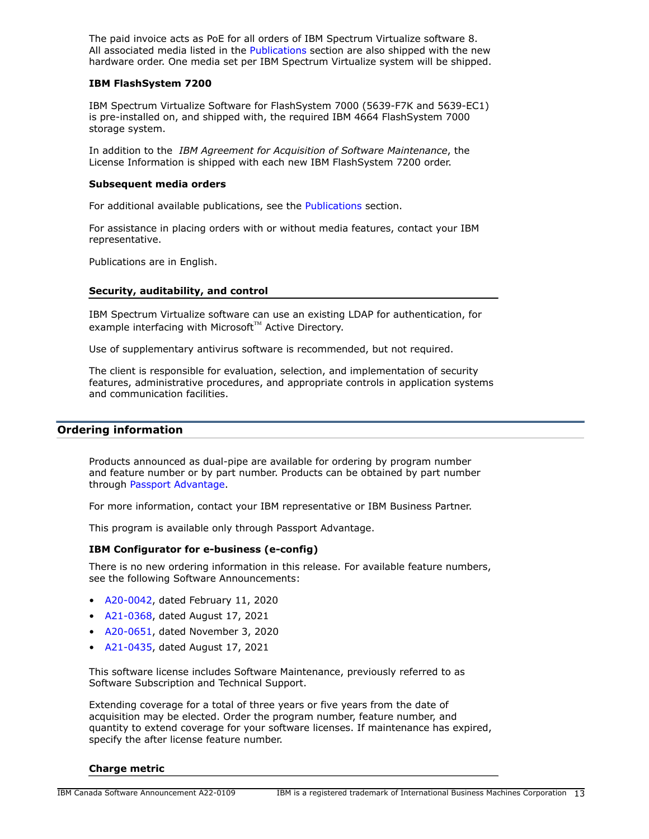The paid invoice acts as PoE for all orders of IBM Spectrum Virtualize software 8. All associated media listed in the [Publications](#page-6-0) section are also shipped with the new hardware order. One media set per IBM Spectrum Virtualize system will be shipped.

#### **IBM FlashSystem 7200**

IBM Spectrum Virtualize Software for FlashSystem 7000 (5639-F7K and 5639-EC1) is pre-installed on, and shipped with, the required IBM 4664 FlashSystem 7000 storage system.

In addition to the *IBM Agreement for Acquisition of Software Maintenance*, the License Information is shipped with each new IBM FlashSystem 7200 order.

#### **Subsequent media orders**

For additional available publications, see the [Publications](#page-6-0) section.

For assistance in placing orders with or without media features, contact your IBM representative.

Publications are in English.

# **Security, auditability, and control**

IBM Spectrum Virtualize software can use an existing LDAP for authentication, for example interfacing with Microsoft™ Active Directory.

Use of supplementary antivirus software is recommended, but not required.

The client is responsible for evaluation, selection, and implementation of security features, administrative procedures, and appropriate controls in application systems and communication facilities.

## <span id="page-12-0"></span>**Ordering information**

Products announced as dual-pipe are available for ordering by program number and feature number or by part number. Products can be obtained by part number through [Passport Advantage](https://www.ibm.com/software/passportadvantage/).

For more information, contact your IBM representative or IBM Business Partner.

This program is available only through Passport Advantage.

#### **IBM Configurator for e-business (e-config)**

There is no new ordering information in this release. For available feature numbers, see the following Software Announcements:

- [A20-0042,](http://www.ibm.com/common/ssi/cgi-bin/ssialias?infotype=an&subtype=ca&appname=gpateam&supplier=649&letternum=ENUSA20-0042) dated February 11, 2020
- [A21-0368,](http://www.ibm.com/common/ssi/cgi-bin/ssialias?infotype=an&subtype=ca&appname=gpateam&supplier=649&letternum=ENUSA21-0368) dated August 17, 2021
- [A20-0651,](http://www.ibm.com/common/ssi/cgi-bin/ssialias?infotype=an&subtype=ca&appname=gpateam&supplier=649&letternum=ENUSA20-0651) dated November 3, 2020
- [A21-0435,](http://www.ibm.com/common/ssi/cgi-bin/ssialias?infotype=an&subtype=ca&appname=gpateam&supplier=649&letternum=ENUSA21-0435) dated August 17, 2021

This software license includes Software Maintenance, previously referred to as Software Subscription and Technical Support.

Extending coverage for a total of three years or five years from the date of acquisition may be elected. Order the program number, feature number, and quantity to extend coverage for your software licenses. If maintenance has expired, specify the after license feature number.

#### **Charge metric**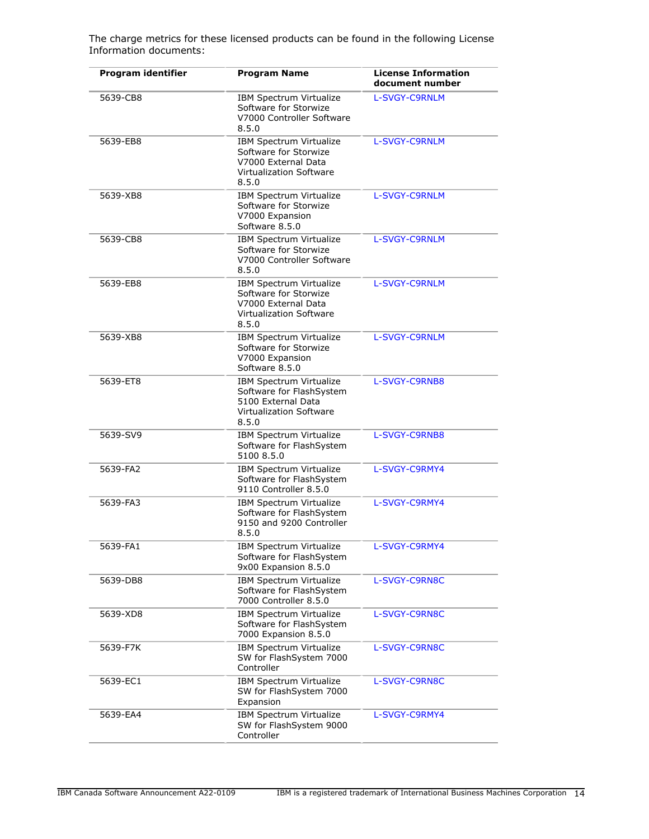**Program identifier Program Name License Information document number** 5639-CB8 IBM Spectrum Virtualize Software for Storwize V7000 Controller Software 8.5.0 [L-SVGY-C9RNLM](http://www14.software.ibm.com/cgi-bin/weblap/lap.pl?li_formnum=L-SVGY-C9RNLM) 5639-EB8 **IBM Spectrum Virtualize** Software for Storwize V7000 External Data Virtualization Software 8.5.0 [L-SVGY-C9RNLM](http://www14.software.ibm.com/cgi-bin/weblap/lap.pl?li_formnum=L-SVGY-C9RNLM) 5639-XB8 IBM Spectrum Virtualize Software for Storwize V7000 Expansion Software 8.5.0 [L-SVGY-C9RNLM](http://www14.software.ibm.com/cgi-bin/weblap/lap.pl?li_formnum=L-SVGY-C9RNLM) 5639-CB8 IBM Spectrum Virtualize Software for Storwize V7000 Controller Software 8.5.0 [L-SVGY-C9RNLM](http://www14.software.ibm.com/cgi-bin/weblap/lap.pl?li_formnum=L-SVGY-C9RNLM) 5639-EB8 IBM Spectrum Virtualize Software for Storwize V7000 External Data Virtualization Software 8.5.0 [L-SVGY-C9RNLM](http://www14.software.ibm.com/cgi-bin/weblap/lap.pl?li_formnum=L-SVGY-C9RNLM) 5639-XB8 IBM Spectrum Virtualize Software for Storwize V7000 Expansion Software 8.5.0 [L-SVGY-C9RNLM](http://www14.software.ibm.com/cgi-bin/weblap/lap.pl?li_formnum=L-SVGY-C9RNLM) 5639-ET8 IBM Spectrum Virtualize Software for FlashSystem 5100 External Data Virtualization Software 8.5.0 [L-SVGY-C9RNB8](http://www14.software.ibm.com/cgi-bin/weblap/lap.pl?li_formnum=L-SVGY-C9RNB8) 5639-SV9 IBM Spectrum Virtualize Software for FlashSystem 5100 8.5.0 [L-SVGY-C9RNB8](http://www14.software.ibm.com/cgi-bin/weblap/lap.pl?li_formnum=L-SVGY-C9RNB8) 5639-FA2 IBM Spectrum Virtualize Software for FlashSystem 9110 Controller 8.5.0 [L-SVGY-C9RMY4](http://www14.software.ibm.com/cgi-bin/weblap/lap.pl?li_formnum=L-SVGY-C9RMY4) 5639-FA3 IBM Spectrum Virtualize Software for FlashSystem 9150 and 9200 Controller 8.5.0 [L-SVGY-C9RMY4](http://www14.software.ibm.com/cgi-bin/weblap/lap.pl?li_formnum=L-SVGY-C9RMY4) 5639-FA1 IBM Spectrum Virtualize Software for FlashSystem 9x00 Expansion 8.5.0 [L-SVGY-C9RMY4](http://www14.software.ibm.com/cgi-bin/weblap/lap.pl?li_formnum=L-SVGY-C9RMY4) 5639-DB8 IBM Spectrum Virtualize Software for FlashSystem 7000 Controller 8.5.0 [L-SVGY-C9RN8C](http://www14.software.ibm.com/cgi-bin/weblap/lap.pl?li_formnum=L-SVGY-C9RN8C) 5639-XD8 IBM Spectrum Virtualize Software for FlashSystem 7000 Expansion 8.5.0 [L-SVGY-C9RN8C](http://www14.software.ibm.com/cgi-bin/weblap/lap.pl?li_formnum=L-SVGY-C9RN8C) 5639-F7K IBM Spectrum Virtualize SW for FlashSystem 7000 Controller [L-SVGY-C9RN8C](http://www14.software.ibm.com/cgi-bin/weblap/lap.pl?li_formnum=L-SVGY-C9RN8C) 5639-EC1 **IBM Spectrum Virtualize** SW for FlashSystem 7000 Expansion [L-SVGY-C9RN8C](http://www14.software.ibm.com/cgi-bin/weblap/lap.pl?li_formnum=L-SVGY-C9RN8C) 5639-EA4 IBM Spectrum Virtualize SW for FlashSystem 9000 Controller [L-SVGY-C9RMY4](http://www14.software.ibm.com/cgi-bin/weblap/lap.pl?li_formnum=L-SVGY-C9RMY4)

The charge metrics for these licensed products can be found in the following License Information documents: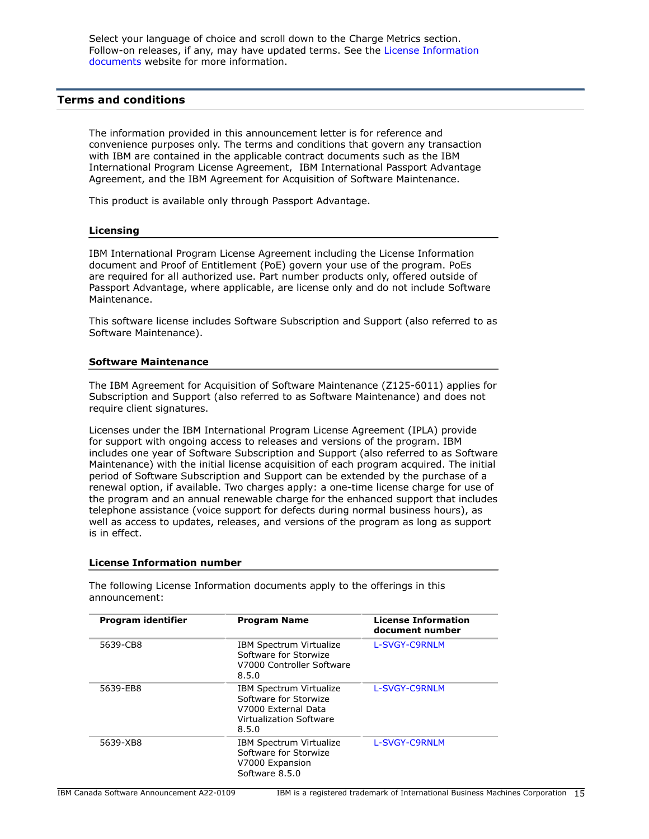Select your language of choice and scroll down to the Charge Metrics section. Follow-on releases, if any, may have updated terms. See the [License Information](https://www.ibm.com/software/sla/sladb.nsf/search?OpenForm) [documents](https://www.ibm.com/software/sla/sladb.nsf/search?OpenForm) website for more information.

# <span id="page-14-0"></span>**Terms and conditions**

The information provided in this announcement letter is for reference and convenience purposes only. The terms and conditions that govern any transaction with IBM are contained in the applicable contract documents such as the IBM International Program License Agreement, IBM International Passport Advantage Agreement, and the IBM Agreement for Acquisition of Software Maintenance.

This product is available only through Passport Advantage.

#### **Licensing**

IBM International Program License Agreement including the License Information document and Proof of Entitlement (PoE) govern your use of the program. PoEs are required for all authorized use. Part number products only, offered outside of Passport Advantage, where applicable, are license only and do not include Software Maintenance.

This software license includes Software Subscription and Support (also referred to as Software Maintenance).

## **Software Maintenance**

The IBM Agreement for Acquisition of Software Maintenance (Z125-6011) applies for Subscription and Support (also referred to as Software Maintenance) and does not require client signatures.

Licenses under the IBM International Program License Agreement (IPLA) provide for support with ongoing access to releases and versions of the program. IBM includes one year of Software Subscription and Support (also referred to as Software Maintenance) with the initial license acquisition of each program acquired. The initial period of Software Subscription and Support can be extended by the purchase of a renewal option, if available. Two charges apply: a one-time license charge for use of the program and an annual renewable charge for the enhanced support that includes telephone assistance (voice support for defects during normal business hours), as well as access to updates, releases, and versions of the program as long as support is in effect.

#### **License Information number**

The following License Information documents apply to the offerings in this announcement:

| Program identifier | <b>Program Name</b>                                                                                                       | <b>License Information</b><br>document number |
|--------------------|---------------------------------------------------------------------------------------------------------------------------|-----------------------------------------------|
| 5639-CB8           | <b>IBM Spectrum Virtualize</b><br>Software for Storwize<br>V7000 Controller Software<br>8.5.0                             | L-SVGY-C9RNLM                                 |
| 5639-EB8           | <b>IBM Spectrum Virtualize</b><br>Software for Storwize<br>V7000 External Data<br><b>Virtualization Software</b><br>8.5.0 | L-SVGY-C9RNLM                                 |
| 5639-XB8           | IBM Spectrum Virtualize<br>Software for Storwize<br>V7000 Expansion<br>Software 8.5.0                                     | L-SVGY-C9RNLM                                 |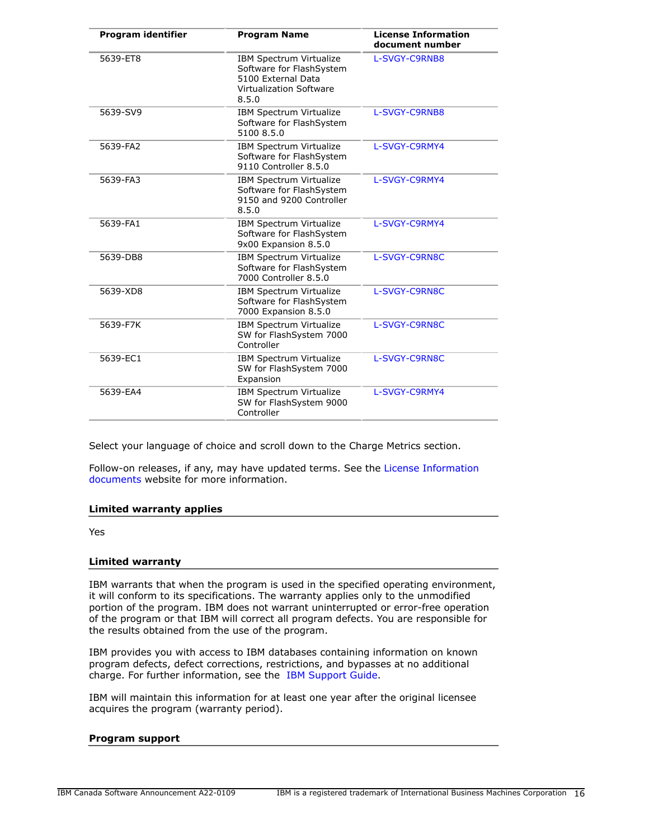| <b>Program identifier</b> | <b>Program Name</b>                                                                                           | <b>License Information</b><br>document number |  |
|---------------------------|---------------------------------------------------------------------------------------------------------------|-----------------------------------------------|--|
| 5639-ET8                  | IBM Spectrum Virtualize<br>Software for FlashSystem<br>5100 External Data<br>Virtualization Software<br>8.5.0 | L-SVGY-C9RNB8                                 |  |
| 5639-SV9                  | <b>IBM Spectrum Virtualize</b><br>Software for FlashSystem<br>5100 8.5.0                                      | L-SVGY-C9RNB8                                 |  |
| 5639-FA2                  | IBM Spectrum Virtualize<br>Software for FlashSystem<br>9110 Controller 8.5.0                                  | L-SVGY-C9RMY4                                 |  |
| 5639-FA3                  | <b>IBM Spectrum Virtualize</b><br>Software for FlashSystem<br>9150 and 9200 Controller<br>8.5.0               | L-SVGY-C9RMY4                                 |  |
| 5639-FA1                  | IBM Spectrum Virtualize<br>Software for FlashSystem<br>9x00 Expansion 8.5.0                                   | L-SVGY-C9RMY4                                 |  |
| 5639-DB8                  | IBM Spectrum Virtualize<br>Software for FlashSystem<br>7000 Controller 8.5.0                                  | L-SVGY-C9RN8C                                 |  |
| 5639-XD8                  | IBM Spectrum Virtualize<br>Software for FlashSystem<br>7000 Expansion 8.5.0                                   | L-SVGY-C9RN8C                                 |  |
| 5639-F7K                  | IBM Spectrum Virtualize<br>SW for FlashSystem 7000<br>Controller                                              | L-SVGY-C9RN8C                                 |  |
| 5639-EC1                  | <b>IBM Spectrum Virtualize</b><br>SW for FlashSystem 7000<br>Expansion                                        | L-SVGY-C9RN8C                                 |  |
| 5639-EA4                  | IBM Spectrum Virtualize<br>SW for FlashSystem 9000<br>Controller                                              | L-SVGY-C9RMY4                                 |  |

Select your language of choice and scroll down to the Charge Metrics section.

Follow-on releases, if any, may have updated terms. See the [License Information](https://www.ibm.com/software/sla/sladb.nsf/search?OpenForm) [documents](https://www.ibm.com/software/sla/sladb.nsf/search?OpenForm) website for more information.

# **Limited warranty applies**

Yes

#### **Limited warranty**

IBM warrants that when the program is used in the specified operating environment, it will conform to its specifications. The warranty applies only to the unmodified portion of the program. IBM does not warrant uninterrupted or error-free operation of the program or that IBM will correct all program defects. You are responsible for the results obtained from the use of the program.

IBM provides you with access to IBM databases containing information on known program defects, defect corrections, restrictions, and bypasses at no additional charge. For further information, see the [IBM Support Guide](http://www.ibm.com/support/customercare/sas/f/handbook/home.html).

IBM will maintain this information for at least one year after the original licensee acquires the program (warranty period).

# **Program support**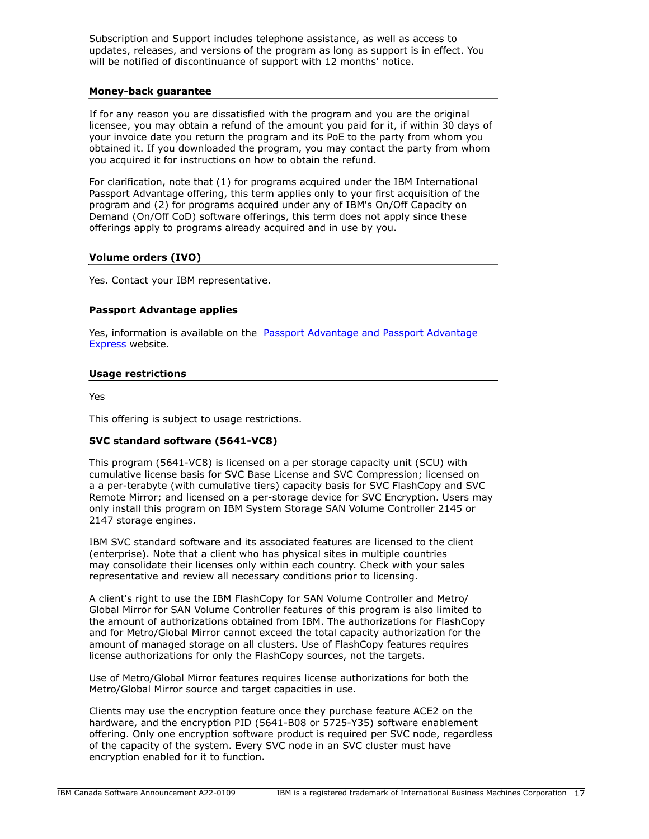Subscription and Support includes telephone assistance, as well as access to updates, releases, and versions of the program as long as support is in effect. You will be notified of discontinuance of support with 12 months' notice.

# **Money-back guarantee**

If for any reason you are dissatisfied with the program and you are the original licensee, you may obtain a refund of the amount you paid for it, if within 30 days of your invoice date you return the program and its PoE to the party from whom you obtained it. If you downloaded the program, you may contact the party from whom you acquired it for instructions on how to obtain the refund.

For clarification, note that (1) for programs acquired under the IBM International Passport Advantage offering, this term applies only to your first acquisition of the program and (2) for programs acquired under any of IBM's On/Off Capacity on Demand (On/Off CoD) software offerings, this term does not apply since these offerings apply to programs already acquired and in use by you.

# **Volume orders (IVO)**

Yes. Contact your IBM representative.

# **Passport Advantage applies**

Yes, information is available on the [Passport Advantage and Passport Advantage](http://www.ibm.com/software/passportadvantage) [Express](http://www.ibm.com/software/passportadvantage) website.

# <span id="page-16-0"></span>**Usage restrictions**

Yes

This offering is subject to usage restrictions.

# **SVC standard software (5641-VC8)**

This program (5641-VC8) is licensed on a per storage capacity unit (SCU) with cumulative license basis for SVC Base License and SVC Compression; licensed on a a per-terabyte (with cumulative tiers) capacity basis for SVC FlashCopy and SVC Remote Mirror; and licensed on a per-storage device for SVC Encryption. Users may only install this program on IBM System Storage SAN Volume Controller 2145 or 2147 storage engines.

IBM SVC standard software and its associated features are licensed to the client (enterprise). Note that a client who has physical sites in multiple countries may consolidate their licenses only within each country. Check with your sales representative and review all necessary conditions prior to licensing.

A client's right to use the IBM FlashCopy for SAN Volume Controller and Metro/ Global Mirror for SAN Volume Controller features of this program is also limited to the amount of authorizations obtained from IBM. The authorizations for FlashCopy and for Metro/Global Mirror cannot exceed the total capacity authorization for the amount of managed storage on all clusters. Use of FlashCopy features requires license authorizations for only the FlashCopy sources, not the targets.

Use of Metro/Global Mirror features requires license authorizations for both the Metro/Global Mirror source and target capacities in use.

Clients may use the encryption feature once they purchase feature ACE2 on the hardware, and the encryption PID (5641-B08 or 5725-Y35) software enablement offering. Only one encryption software product is required per SVC node, regardless of the capacity of the system. Every SVC node in an SVC cluster must have encryption enabled for it to function.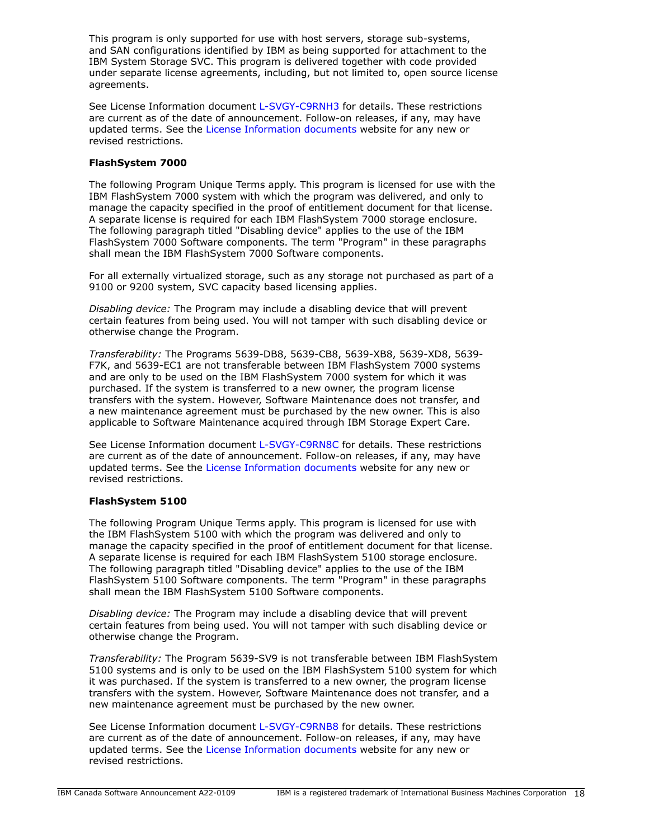This program is only supported for use with host servers, storage sub-systems, and SAN configurations identified by IBM as being supported for attachment to the IBM System Storage SVC. This program is delivered together with code provided under separate license agreements, including, but not limited to, open source license agreements.

See License Information document [L-SVGY-C9RNH3](http://www14.software.ibm.com/cgi-bin/weblap/lap.pl?li_formnum=L-SVGY-C9RNH3) for details. These restrictions are current as of the date of announcement. Follow-on releases, if any, may have updated terms. See the [License Information documents](https://www.ibm.com/software/sla/sladb.nsf/search?OpenForm) website for any new or revised restrictions.

# **FlashSystem 7000**

The following Program Unique Terms apply. This program is licensed for use with the IBM FlashSystem 7000 system with which the program was delivered, and only to manage the capacity specified in the proof of entitlement document for that license. A separate license is required for each IBM FlashSystem 7000 storage enclosure. The following paragraph titled "Disabling device" applies to the use of the IBM FlashSystem 7000 Software components. The term "Program" in these paragraphs shall mean the IBM FlashSystem 7000 Software components.

For all externally virtualized storage, such as any storage not purchased as part of a 9100 or 9200 system, SVC capacity based licensing applies.

*Disabling device:* The Program may include a disabling device that will prevent certain features from being used. You will not tamper with such disabling device or otherwise change the Program.

*Transferability:* The Programs 5639-DB8, 5639-CB8, 5639-XB8, 5639-XD8, 5639- F7K, and 5639-EC1 are not transferable between IBM FlashSystem 7000 systems and are only to be used on the IBM FlashSystem 7000 system for which it was purchased. If the system is transferred to a new owner, the program license transfers with the system. However, Software Maintenance does not transfer, and a new maintenance agreement must be purchased by the new owner. This is also applicable to Software Maintenance acquired through IBM Storage Expert Care.

See License Information document [L-SVGY-C9RN8C](http://www14.software.ibm.com/cgi-bin/weblap/lap.pl?li_formnum=L-SVGY-C9RN8C) for details. These restrictions are current as of the date of announcement. Follow-on releases, if any, may have updated terms. See the [License Information documents](https://www.ibm.com/software/sla/sladb.nsf/search?OpenForm) website for any new or revised restrictions.

# **FlashSystem 5100**

The following Program Unique Terms apply. This program is licensed for use with the IBM FlashSystem 5100 with which the program was delivered and only to manage the capacity specified in the proof of entitlement document for that license. A separate license is required for each IBM FlashSystem 5100 storage enclosure. The following paragraph titled "Disabling device" applies to the use of the IBM FlashSystem 5100 Software components. The term "Program" in these paragraphs shall mean the IBM FlashSystem 5100 Software components.

*Disabling device:* The Program may include a disabling device that will prevent certain features from being used. You will not tamper with such disabling device or otherwise change the Program.

*Transferability:* The Program 5639-SV9 is not transferable between IBM FlashSystem 5100 systems and is only to be used on the IBM FlashSystem 5100 system for which it was purchased. If the system is transferred to a new owner, the program license transfers with the system. However, Software Maintenance does not transfer, and a new maintenance agreement must be purchased by the new owner.

See License Information document [L-SVGY-C9RNB8](http://www14.software.ibm.com/cgi-bin/weblap/lap.pl?li_formnum=L-SVGY-C9RNB8) for details. These restrictions are current as of the date of announcement. Follow-on releases, if any, may have updated terms. See the [License Information documents](https://www.ibm.com/software/sla/sladb.nsf/search?OpenForm) website for any new or revised restrictions.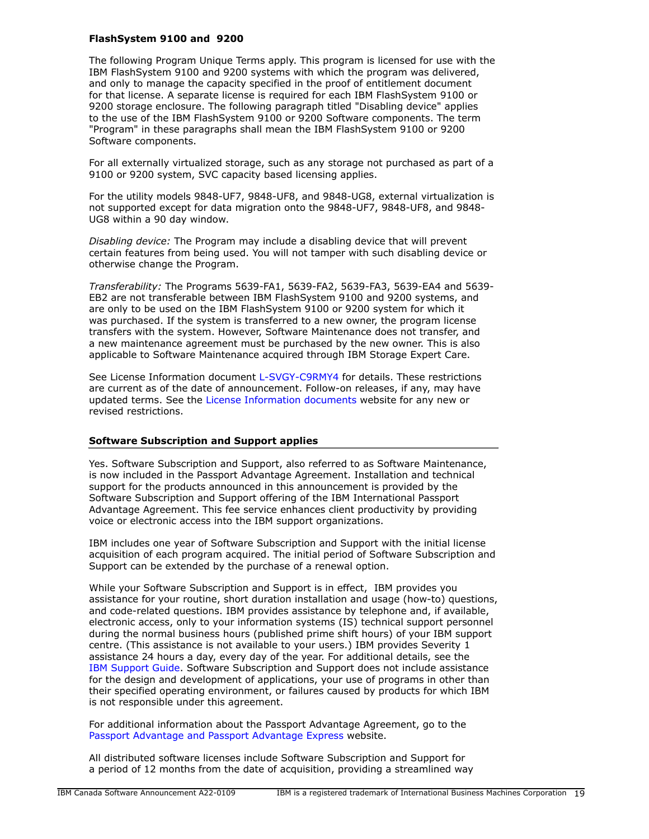# **FlashSystem 9100 and 9200**

The following Program Unique Terms apply. This program is licensed for use with the IBM FlashSystem 9100 and 9200 systems with which the program was delivered, and only to manage the capacity specified in the proof of entitlement document for that license. A separate license is required for each IBM FlashSystem 9100 or 9200 storage enclosure. The following paragraph titled "Disabling device" applies to the use of the IBM FlashSystem 9100 or 9200 Software components. The term "Program" in these paragraphs shall mean the IBM FlashSystem 9100 or 9200 Software components.

For all externally virtualized storage, such as any storage not purchased as part of a 9100 or 9200 system, SVC capacity based licensing applies.

For the utility models 9848-UF7, 9848-UF8, and 9848-UG8, external virtualization is not supported except for data migration onto the 9848-UF7, 9848-UF8, and 9848- UG8 within a 90 day window.

*Disabling device:* The Program may include a disabling device that will prevent certain features from being used. You will not tamper with such disabling device or otherwise change the Program.

*Transferability:* The Programs 5639-FA1, 5639-FA2, 5639-FA3, 5639-EA4 and 5639- EB2 are not transferable between IBM FlashSystem 9100 and 9200 systems, and are only to be used on the IBM FlashSystem 9100 or 9200 system for which it was purchased. If the system is transferred to a new owner, the program license transfers with the system. However, Software Maintenance does not transfer, and a new maintenance agreement must be purchased by the new owner. This is also applicable to Software Maintenance acquired through IBM Storage Expert Care.

See License Information document [L-SVGY-C9RMY4](http://www14.software.ibm.com/cgi-bin/weblap/lap.pl?li_formnum=L-SVGY-C9RMY4) for details. These restrictions are current as of the date of announcement. Follow-on releases, if any, may have updated terms. See the [License Information documents](https://www.ibm.com/software/sla/sladb.nsf/search?OpenForm) website for any new or revised restrictions.

# **Software Subscription and Support applies**

Yes. Software Subscription and Support, also referred to as Software Maintenance, is now included in the Passport Advantage Agreement. Installation and technical support for the products announced in this announcement is provided by the Software Subscription and Support offering of the IBM International Passport Advantage Agreement. This fee service enhances client productivity by providing voice or electronic access into the IBM support organizations.

IBM includes one year of Software Subscription and Support with the initial license acquisition of each program acquired. The initial period of Software Subscription and Support can be extended by the purchase of a renewal option.

While your Software Subscription and Support is in effect, IBM provides you assistance for your routine, short duration installation and usage (how-to) questions, and code-related questions. IBM provides assistance by telephone and, if available, electronic access, only to your information systems (IS) technical support personnel during the normal business hours (published prime shift hours) of your IBM support centre. (This assistance is not available to your users.) IBM provides Severity 1 assistance 24 hours a day, every day of the year. For additional details, see the [IBM Support Guide.](http://www.ibm.com/support/customercare/sas/f/handbook/home.html) Software Subscription and Support does not include assistance for the design and development of applications, your use of programs in other than their specified operating environment, or failures caused by products for which IBM is not responsible under this agreement.

For additional information about the Passport Advantage Agreement, go to the [Passport Advantage and Passport Advantage Express](http://www.ibm.com/software/passportadvantage) website.

All distributed software licenses include Software Subscription and Support for a period of 12 months from the date of acquisition, providing a streamlined way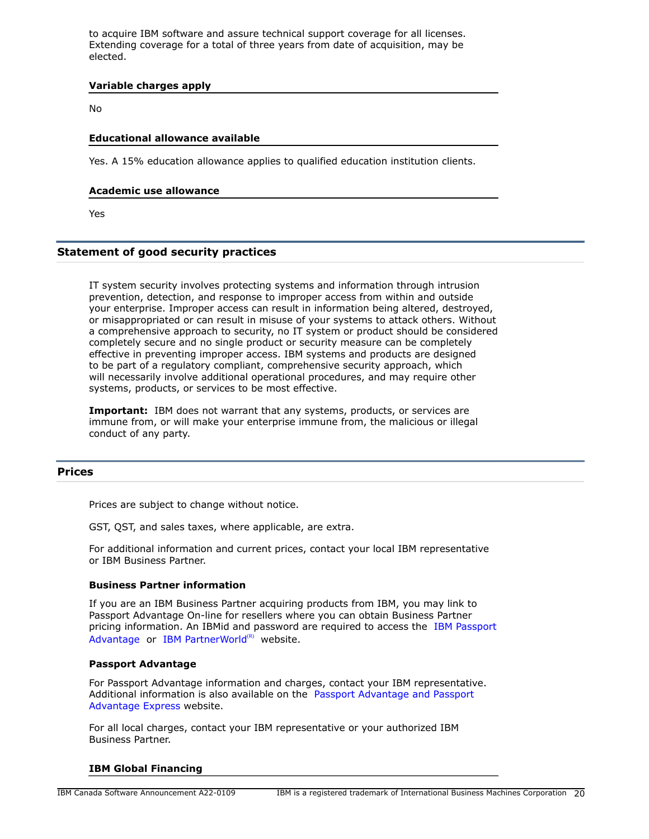to acquire IBM software and assure technical support coverage for all licenses. Extending coverage for a total of three years from date of acquisition, may be elected.

## **Variable charges apply**

No

# **Educational allowance available**

Yes. A 15% education allowance applies to qualified education institution clients.

# **Academic use allowance**

Yes

# **Statement of good security practices**

IT system security involves protecting systems and information through intrusion prevention, detection, and response to improper access from within and outside your enterprise. Improper access can result in information being altered, destroyed, or misappropriated or can result in misuse of your systems to attack others. Without a comprehensive approach to security, no IT system or product should be considered completely secure and no single product or security measure can be completely effective in preventing improper access. IBM systems and products are designed to be part of a regulatory compliant, comprehensive security approach, which will necessarily involve additional operational procedures, and may require other systems, products, or services to be most effective.

**Important:** IBM does not warrant that any systems, products, or services are immune from, or will make your enterprise immune from, the malicious or illegal conduct of any party.

# <span id="page-19-0"></span>**Prices**

Prices are subject to change without notice.

GST, QST, and sales taxes, where applicable, are extra.

For additional information and current prices, contact your local IBM representative or IBM Business Partner.

#### **Business Partner information**

If you are an IBM Business Partner acquiring products from IBM, you may link to Passport Advantage On-line for resellers where you can obtain Business Partner pricing information. An IBMid and password are required to access the [IBM Passport](https://www.ibm.com/software/passportadvantage/pao_reseller.html) [Advantage](https://www.ibm.com/software/passportadvantage/pao_reseller.html) or [IBM PartnerWorld](https://www.ibm.com/partnerworld/resources/sell) $(R)$  website.

## **Passport Advantage**

For Passport Advantage information and charges, contact your IBM representative. Additional information is also available on the [Passport Advantage and Passport](http://www.ibm.com/software/passportadvantage) [Advantage Express](http://www.ibm.com/software/passportadvantage) website.

For all local charges, contact your IBM representative or your authorized IBM Business Partner.

#### **IBM Global Financing**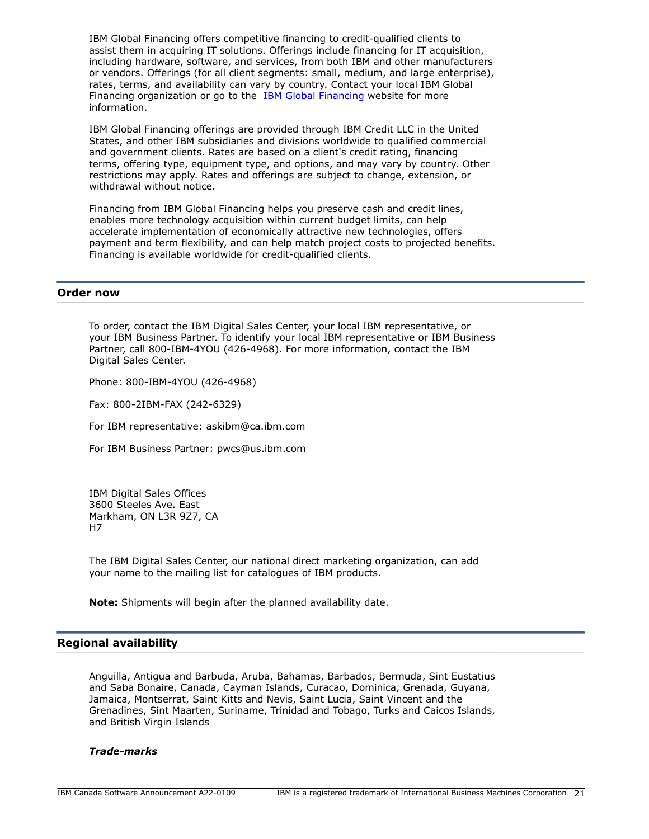IBM Global Financing offers competitive financing to credit-qualified clients to assist them in acquiring IT solutions. Offerings include financing for IT acquisition, including hardware, software, and services, from both IBM and other manufacturers or vendors. Offerings (for all client segments: small, medium, and large enterprise), rates, terms, and availability can vary by country. Contact your local IBM Global Financing organization or go to the [IBM Global Financing](http://www.ibm.com/financing) website for more information.

IBM Global Financing offerings are provided through IBM Credit LLC in the United States, and other IBM subsidiaries and divisions worldwide to qualified commercial and government clients. Rates are based on a client's credit rating, financing terms, offering type, equipment type, and options, and may vary by country. Other restrictions may apply. Rates and offerings are subject to change, extension, or withdrawal without notice.

Financing from IBM Global Financing helps you preserve cash and credit lines, enables more technology acquisition within current budget limits, can help accelerate implementation of economically attractive new technologies, offers payment and term flexibility, and can help match project costs to projected benefits. Financing is available worldwide for credit-qualified clients.

## <span id="page-20-0"></span>**Order now**

To order, contact the IBM Digital Sales Center, your local IBM representative, or your IBM Business Partner. To identify your local IBM representative or IBM Business Partner, call 800-IBM-4YOU (426-4968). For more information, contact the IBM Digital Sales Center.

Phone: 800-IBM-4YOU (426-4968)

Fax: 800-2IBM-FAX (242-6329)

For IBM representative: askibm@ca.ibm.com

For IBM Business Partner: pwcs@us.ibm.com

IBM Digital Sales Offices 3600 Steeles Ave. East Markham, ON L3R 9Z7, CA H7

The IBM Digital Sales Center, our national direct marketing organization, can add your name to the mailing list for catalogues of IBM products.

**Note:** Shipments will begin after the planned availability date.

# <span id="page-20-1"></span>**Regional availability**

Anguilla, Antigua and Barbuda, Aruba, Bahamas, Barbados, Bermuda, Sint Eustatius and Saba Bonaire, Canada, Cayman Islands, Curacao, Dominica, Grenada, Guyana, Jamaica, Montserrat, Saint Kitts and Nevis, Saint Lucia, Saint Vincent and the Grenadines, Sint Maarten, Suriname, Trinidad and Tobago, Turks and Caicos Islands, and British Virgin Islands

#### *Trade-marks*